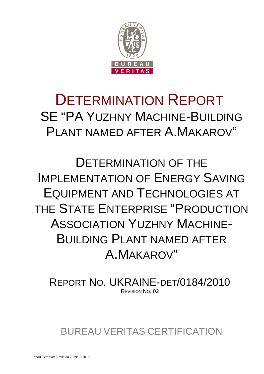

# DETERMINATION REPORT SE "PA YUZHNY MACHINE-BUILDING PI ANT NAMED AFTER A MAKAROV"

DETERMINATION OF THE IMPLEMENTATION OF ENERGY SAVING EQUIPMENT AND TECHNOLOGIES AT THE STATE ENTERPRISE "PRODUCTION ASSOCIATION YUZHNY MACHINE-**BUILDING PLANT NAMED AFTER** A.MAKAROV"

REPORT NO. UKRAINE-DET/0184/2010 REVISION NO. 02

BUREAU VERITAS CERTIFICATION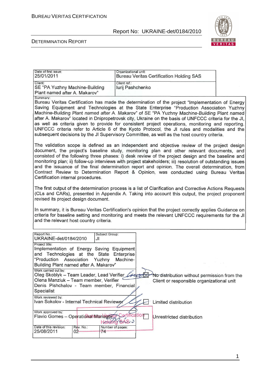

#### DETERMINATION REPORT

| Date of first issue:<br>25/01/2011                                                                                                                                                                                                                                                                                                                                                                                                                                                                                                                                                                                                                                                                                                                                                                                                                                                                                                                                                                                                                                                                                                                                                                                                                                                                                                                                   |                     | Organizational unit:             |           | <b>Bureau Veritas Certification Holding SAS</b> |  |  |  |
|----------------------------------------------------------------------------------------------------------------------------------------------------------------------------------------------------------------------------------------------------------------------------------------------------------------------------------------------------------------------------------------------------------------------------------------------------------------------------------------------------------------------------------------------------------------------------------------------------------------------------------------------------------------------------------------------------------------------------------------------------------------------------------------------------------------------------------------------------------------------------------------------------------------------------------------------------------------------------------------------------------------------------------------------------------------------------------------------------------------------------------------------------------------------------------------------------------------------------------------------------------------------------------------------------------------------------------------------------------------------|---------------------|----------------------------------|-----------|-------------------------------------------------|--|--|--|
| Client:<br>SE "PA Yuzhny Machine-Building                                                                                                                                                                                                                                                                                                                                                                                                                                                                                                                                                                                                                                                                                                                                                                                                                                                                                                                                                                                                                                                                                                                                                                                                                                                                                                                            |                     | Client ref.:<br>lurij Pashchenko |           |                                                 |  |  |  |
| Plant named after A. Makarov"<br>Summary:<br>Bureau Veritas Certification has made the determination of the project "Implementation of Energy<br>Saving Equipment and Technologies at the State Enterprise "Production Association Yuzhny<br>Machine-Building Plant named after A. Makarov" of SE "PA Yuzhny Machine-Building Plant named<br>after A. Makarov" located in Dnipropetrovsk city, Ukraine on the basis of UNFCCC criteria for the JI,<br>as well as criteria given to provide for consistent project operations, monitoring and reporting.<br>UNFCCC criteria refer to Article 6 of the Kyoto Protocol, the JI rules and modalities and the<br>subsequent decisions by the JI Supervisory Committee, as well as the host country criteria.<br>The validation scope is defined as an independent and objective review of the project design<br>document, the project's baseline study, monitoring plan and other relevant documents, and<br>consisted of the following three phases: i) desk review of the project design and the baseline and<br>monitoring plan; ii) follow-up interviews with project stakeholders; iii) resolution of outstanding issues<br>and the issuance of the final determination report and opinion. The overall determination, from<br>Contract Review to Determination Report & Opinion, was conducted using Bureau Veritas |                     |                                  |           |                                                 |  |  |  |
| Certification internal procedures.<br>The first output of the determination process is a list of Clarification and Corrective Actions Requests<br>(CLs and CARs), presented in Appendix A. Taking into account this output, the project proponent<br>revised its project design document.<br>In summary, it is Bureau Veritas Certification's opinion that the project correctly applies Guidance on<br>criteria for baseline setting and monitoring and meets the relevant UNFCCC requirements for the JI<br>and the relevant host country criteria.                                                                                                                                                                                                                                                                                                                                                                                                                                                                                                                                                                                                                                                                                                                                                                                                                |                     |                                  |           |                                                 |  |  |  |
| Report No.:<br>UKRAINE-det/0184/2010                                                                                                                                                                                                                                                                                                                                                                                                                                                                                                                                                                                                                                                                                                                                                                                                                                                                                                                                                                                                                                                                                                                                                                                                                                                                                                                                 | JI                  | Subject Group:                   |           |                                                 |  |  |  |
| Project title:<br>Implementation of Energy Saving                                                                                                                                                                                                                                                                                                                                                                                                                                                                                                                                                                                                                                                                                                                                                                                                                                                                                                                                                                                                                                                                                                                                                                                                                                                                                                                    |                     | Equipment                        |           |                                                 |  |  |  |
| and Technologies at the State<br>"Production<br>Building Plant named after A. Makarov"                                                                                                                                                                                                                                                                                                                                                                                                                                                                                                                                                                                                                                                                                                                                                                                                                                                                                                                                                                                                                                                                                                                                                                                                                                                                               | Association         | Enterprise<br>Yuzhny<br>Machine- |           |                                                 |  |  |  |
| Work carried out by:<br>Oleg Skoblyk – Team Leader, Lead Verifier Let<br>No distribution without permission from the<br>Olena Manziuk - Team member, Verifier<br>Client or responsible organizational unit<br>Denis Pishchalov - Team member, Financial<br>Specialist                                                                                                                                                                                                                                                                                                                                                                                                                                                                                                                                                                                                                                                                                                                                                                                                                                                                                                                                                                                                                                                                                                |                     |                                  |           |                                                 |  |  |  |
| Work reviewed by:<br>Ivan Sokolov - Internal Technical Reviewer                                                                                                                                                                                                                                                                                                                                                                                                                                                                                                                                                                                                                                                                                                                                                                                                                                                                                                                                                                                                                                                                                                                                                                                                                                                                                                      |                     |                                  |           | Limited distribution                            |  |  |  |
| Work approved by:<br>Flavio Gomes - Operational Managery                                                                                                                                                                                                                                                                                                                                                                                                                                                                                                                                                                                                                                                                                                                                                                                                                                                                                                                                                                                                                                                                                                                                                                                                                                                                                                             |                     | Hatching SASIO                   | ification | Unrestricted distribution                       |  |  |  |
| Date of this revision:<br>25/08/2011                                                                                                                                                                                                                                                                                                                                                                                                                                                                                                                                                                                                                                                                                                                                                                                                                                                                                                                                                                                                                                                                                                                                                                                                                                                                                                                                 | Rev. No.:<br>$02 -$ | Number of pages:<br>74           |           |                                                 |  |  |  |

1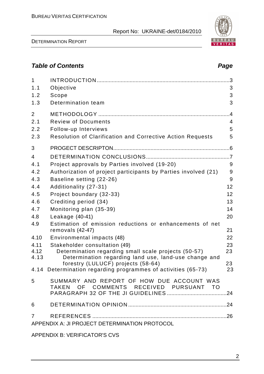DETERMINATION REPORT

# **Table of Contents Page 2014**

| $\mathbf{1}$<br>1.1                           | Objective                                                                                   | 3                |  |  |  |  |
|-----------------------------------------------|---------------------------------------------------------------------------------------------|------------------|--|--|--|--|
| 1.2                                           | Scope                                                                                       | 3                |  |  |  |  |
| 1.3                                           | Determination team                                                                          | 3                |  |  |  |  |
| $\overline{2}$                                |                                                                                             | $4 \overline{4}$ |  |  |  |  |
| 2.1                                           | <b>Review of Documents</b>                                                                  | 4                |  |  |  |  |
| 2.2                                           | Follow-up Interviews                                                                        | 5                |  |  |  |  |
| 2.3                                           | Resolution of Clarification and Corrective Action Requests                                  | 5                |  |  |  |  |
| 3                                             |                                                                                             |                  |  |  |  |  |
| $\overline{4}$                                |                                                                                             |                  |  |  |  |  |
| 4.1                                           | Project approvals by Parties involved (19-20)                                               | 9                |  |  |  |  |
| 4.2                                           | Authorization of project participants by Parties involved (21)                              | 9                |  |  |  |  |
| 4.3                                           | Baseline setting (22-26)                                                                    | 9                |  |  |  |  |
| 4.4                                           | Additionality (27-31)                                                                       | 12               |  |  |  |  |
| 4.5                                           | Project boundary (32-33)                                                                    | 12               |  |  |  |  |
| 4.6                                           | Crediting period (34)                                                                       | 13               |  |  |  |  |
| 4.7                                           | Monitoring plan (35-39)                                                                     | 14               |  |  |  |  |
| 4.8                                           | Leakage $(40-41)$                                                                           | 20               |  |  |  |  |
| 4.9                                           | Estimation of emission reductions or enhancements of net<br>removals $(42-47)$              | 21               |  |  |  |  |
| 4.10                                          | Environmental impacts (48)                                                                  | 22               |  |  |  |  |
| 4.11                                          | Stakeholder consultation (49)                                                               | 23               |  |  |  |  |
| 4.12                                          | Determination regarding small scale projects (50-57)                                        | 23               |  |  |  |  |
| 4.13                                          | Determination regarding land use, land-use change and<br>forestry (LULUCF) projects (58-64) | 23               |  |  |  |  |
|                                               | 4.14 Determination regarding programmes of activities (65-73)                               | 23               |  |  |  |  |
| 5                                             | SUMMARY AND REPORT OF HOW DUE ACCOUNT WAS<br>TAKEN OF COMMENTS RECEIVED PURSUANT TO         |                  |  |  |  |  |
|                                               |                                                                                             |                  |  |  |  |  |
| 6                                             |                                                                                             |                  |  |  |  |  |
| $\overline{7}$                                |                                                                                             |                  |  |  |  |  |
| APPENDIX A: JI PROJECT DETERMINATION PROTOCOL |                                                                                             |                  |  |  |  |  |

APPENDIX B: VERIFICATOR'S CVS

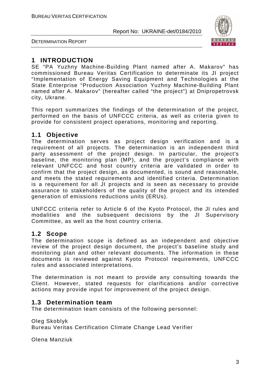

DETERMINATION REPORT

# **1 INTRODUCTION**

SE "PA Yuzhny Machine-Building Plant named after A. Makarov" has commissioned Bureau Veritas Certification to determinate its JI project "Implementation of Energy Saving Equipment and Technologies at the State Enterprise "Production Association Yuzhny Machine-Building Plant named after A. Makarov" (hereafter called "the project") at Dnipropetrovsk city, Ukrane.

This report summarizes the findings of the determination of the project, performed on the basis of UNFCCC criteria, as well as criteria given to provide for consistent project operations, monitoring and reporting.

# **1.1 Objective**

The determination serves as project design verification and is a requirement of all projects. The determination is an independent third party assessment of the project design. In particular, the project's baseline, the monitoring plan (MP), and the project's compliance with relevant UNFCCC and host country criteria are validated in order to confirm that the project design, as documented, is sound and reasonable, and meets the stated requirements and identified criteria. Determination is a requirement for all JI projects and is seen as necessary to provide assurance to stakeholders of the quality of the project and its intended generation of emissions reductions units (ERUs).

UNFCCC criteria refer to Article 6 of the Kyoto Protocol, the JI rules and modalities and the subsequent decisions by the JI Supervisory Committee, as well as the host country criteria.

# **1.2 Scope**

The determination scope is defined as an independent and objective review of the project design document, the project's baseline study and monitoring plan and other relevant documents. The information in these documents is reviewed against Kyoto Protocol requirements, UNFCCC rules and associated interpretations.

The determination is not meant to provide any consulting towards the Client. However, stated requests for clarifications and/or corrective actions may provide input for improvement of the project design.

# **1.3 Determination team**

The determination team consists of the following personnel:

Oleg Skoblyk Bureau Veritas Certification Climate Change Lead Verifier

Olena Manziuk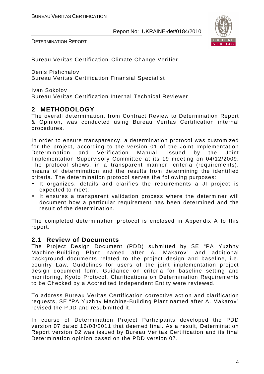



Bureau Veritas Certification Climate Change Verifier

Denis Pishchalov Bureau Veritas Certification Finansial Specialist

Ivan Sokolov Bureau Veritas Certification Internal Technical Reviewer

# **2 METHODOLOGY**

The overall determination, from Contract Review to Determination Report & Opinion, was conducted using Bureau Veritas Certification internal procedures.

In order to ensure transparency, a determination protocol was customized for the project, according to the version 01 of the Joint Implementation Determination and Verification Manual, issued by the Joint Implementation Supervisory Committee at its 19 meeting on 04/12/2009. The protocol shows, in a transparent manner, criteria (requirements), means of determination and the results from determining the identified criteria. The determination protocol serves the following purposes:

- It organizes, details and clarifies the requirements a JI project is expected to meet;
- It ensures a transparent validation process where the determiner will document how a particular requirement has been determined and the result of the determination.

The completed determination protocol is enclosed in Appendix A to this report.

### **2.1 Review of Documents**

The Project Design Document (PDD) submitted by SE "PA Yuzhny Machine-Building Plant named after A. Makarov" and additional background documents related to the project design and baseline, i.e. country Law, Guidelines for users of the joint implementation project design document form, Guidance on criteria for baseline setting and monitoring, Kyoto Protocol, Clarifications on Determination Requirements to be Checked by a Accredited Independent Entity were reviewed.

To address Bureau Veritas Certification corrective action and clarification requests, SE "PA Yuzhny Machine-Building Plant named after A. Makarov" revised the PDD and resubmitted it.

In course of Determination Project Participants developed the PDD version 07 dated 16/08/2011 that deemed final. As a result, Determination Report version 02 was issued by Bureau Veritas Certification and its final Determination opinion based on the PDD version 07.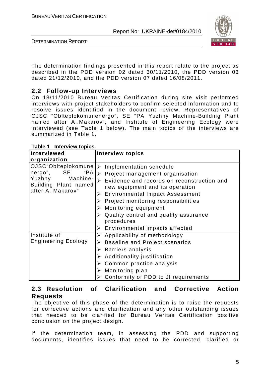

DETERMINATION REPORT

The determination findings presented in this report relate to the project as described in the PDD version 02 dated 30/11/2010, the PDD version 03 dated 21/12/2010, and the PDD version 07 dated 16/08/2011.

# **2.2 Follow-up Interviews**

On 18/11/2010 Bureau Veritas Certification during site visit performed interviews with project stakeholders to confirm selected information and to resolve issues identified in the document review. Representatives of OJSC "Oblteplokomunenergo", SE "PA Yuzhny Machine-Building Plant named after A..Makarov", and Institute of Engineering Ecology were interviewed (see Table 1 below). The main topics of the interviews are summarized in Table 1.

| Interviewed                                                                                                    | <b>Interview topics</b>                                                                                                                                                                                                                                                                                                                                                                                       |
|----------------------------------------------------------------------------------------------------------------|---------------------------------------------------------------------------------------------------------------------------------------------------------------------------------------------------------------------------------------------------------------------------------------------------------------------------------------------------------------------------------------------------------------|
| organization                                                                                                   |                                                                                                                                                                                                                                                                                                                                                                                                               |
| OJSC"Oblteplokomune<br>"PA<br>nergo",<br>SE<br>Yuzhny<br>Machine-<br>Building Plant named<br>after A. Makarov" | Implementation schedule<br>➤<br>$\triangleright$ Project management organisation<br>Evidence and records on reconstruction and<br>$\blacktriangleright$<br>new equipment and its operation<br>> Environmental Impact Assessment<br>Project monitoring responsibilities<br>Monitoring equipment<br>➤<br>Quality control and quality assurance<br>procedures<br>$\triangleright$ Environmental impacts affected |
| Institute of<br><b>Engineering Ecology</b>                                                                     | $\triangleright$ Applicability of methodology<br>Baseline and Project scenarios<br>≻<br><b>Barriers analysis</b><br>$\blacktriangleright$<br>Additionality justification<br>➤<br>Common practice analysis<br>➤<br>Monitoring plan<br>➤<br>Conformity of PDD to JI requirements                                                                                                                                |

**Table 1 Interview topics** 

# **2.3 Resolution of Clarification and Corrective Action Requests**

The objective of this phase of the determination is to raise the requests for corrective actions and clarification and any other outstanding issues that needed to be clarified for Bureau Veritas Certification positive conclusion on the project design.

If the determination team, in assessing the PDD and supporting documents, identifies issues that need to be corrected, clarified or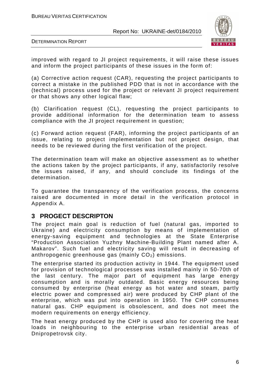

DETERMINATION REPORT

improved with regard to JI project requirements, it will raise these issues and inform the project participants of these issues in the form of:

(a) Corrective action request (CAR), requesting the project participants to correct a mistake in the published PDD that is not in accordance with the (technical) process used for the project or relevant JI project requirement or that shows any other logical flaw;

(b) Clarification request (CL), requesting the project participants to provide additional information for the determination team to assess compliance with the JI project requirement in question;

(c) Forward action request (FAR), informing the project participants of an issue, relating to project implementation but not project design, that needs to be reviewed during the first verification of the project.

The determination team will make an objective assessment as to whether the actions taken by the project participants, if any, satisfactorily resolve the issues raised, if any, and should conclude its findings of the determination.

To guarantee the transparency of the verification process, the concerns raised are documented in more detail in the verification protocol in Appendix A.

# **3 PROGECT DESCRIPTON**

The project main goal is reduction of fuel (natural gas, imported to Ukraine) and electricity consumption by means of implementation of energy-saving equipment and technologies at the State Enterprise "Production Association Yuzhny Machine-Building Plant named after A. Makarov". Such fuel and electricity saving will result in decreasing of anthropogenic greenhouse gas (mainly  $CO<sub>2</sub>$ ) emissions.

The enterprise started its production activity in 1944. The equipment used for provision of technological processes was installed mainly in 50-70th of the last century. The major part of equipment has large energy consumption and is morally outdated. Basic energy resources being consumed by enterprise (heat energy as hot water and steam, partly electric power and compressed air) were produced by CHP plant of the enterprise, which was put into operation in 1950. The CHP consumes natural gas. CHP equipment is obsolescent, and does not meet the modern requirements on energy efficiency.

The heat energy produced by the CHP is used also for covering the heat loads in neighbouring to the enterprise urban residential areas of Dnipropetrovsk city.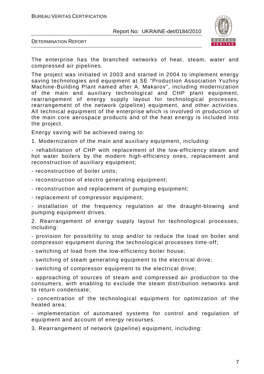

DETERMINATION REPORT

The enterprise has the branched networks of heat, steam, water and compressed air pipelines.

The project was initiated in 2003 and started in 2004 to implement energy saving technologies and equipment at SE "Production Association Yuzhny Machine-Building Plant named after A. Makarov", including modernization of the main and auxiliary technological and CHP plant equipment, rearrangement of energy supply layout for technological processes, rearrangement of the network (pipeline) equipment, and other activities. All technical equipment of the enterprise which is involved in production of the main core aerospace products and of the heat energy is included into the project.

Energy saving will be achieved owing to:

1. Modernization of the main and auxiliary equipment, including:

- rehabilitation of CHP with replacement of the low-efficiency steam and hot water boilers by the modern high-efficiency ones, replacement and reconstruction of auxiliary equipment;

- reconstruction of boiler units;

- reconstruction of electro generating equipment;

- reconstruction and replacement of pumping equipment;

- replacement of compressor equipment;

- installation of the frequency regulation at the draught-blowing and pumping equipment drives.

2. Rearrangement of energy supply layout for technological processes, including:

- provision for possibility to stop and/or to reduce the load on boiler and compressor equipment during the technological processes time-off;

- switching of load from the low-efficiency boiler house;

- switching of steam generating equipment to the electrical drive;

- switching of compressor equipment to the electrical drive;

- approaching of sources of steam and compressed air production to the consumers, with enabling to exclude the steam distribution networks and to return condensate;

- concentration of the technological equipment for optimization of the heated area;

- implementation of automated systems for control and regulation of equipment and account of energy recourses.

3. Rearrangement of network (pipeline) equipment, including: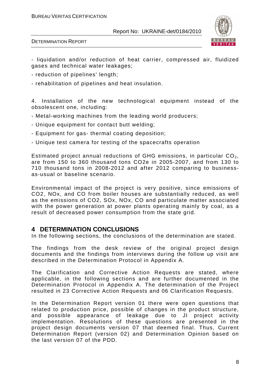

- liquidation and/or reduction of heat carrier, compressed air, fluidized gases and technical water leakages;

- reduction of pipelines' length;
- rehabilitation of pipelines and heat insulation.

4. Installation of the new technological equipment instead of the obsolescent one, including:

- Metal-working machines from the leading world producers;
- Unique equipment for contact butt welding;
- Equipment for gas- thermal coating deposition;
- Unique test camera for testing of the spacecrafts operation

Estimated project annual reductions of GHG emissions, in particular  $CO<sub>2</sub>$ , are from 150 to 360 thousand tons CO2e in 2005-2007, and from 130 to 710 thousand tons in 2008-2012 and after 2012 comparing to businessas-usual or baseline scenario.

Environmental impact of the project is very positive, since emissions of CO2, NOx, and CO from boiler houses are substantially reduced, as well as the emissions of CO2, SOx, NOx, CO and particulate matter associated with the power generation at power plants operating mainly by coal, as a result of decreased power consumption from the state grid.

### **4 DETERMINATION CONCLUSIONS**

In the following sections, the conclusions of the determination are stated.

The findings from the desk review of the original project design documents and the findings from interviews during the follow up visit are described in the Determination Protocol in Appendix A.

The Clarification and Corrective Action Requests are stated, where applicable, in the following sections and are further documented in the Determination Protocol in Appendix A. The determination of the Project resulted in 23 Corrective Action Requests and 06 Clarification Requests.

In the Determination Report version 01 there were open questions that related to production price, possible of changes in the product structure, and possible appearance of leakage due to JI project activity implementation. Resolutions of these questions are presented in the project design documents version 07 that deemed final. Thus, Current Determination Report (version 02) and Determination Opinion based on the last version 07 of the PDD.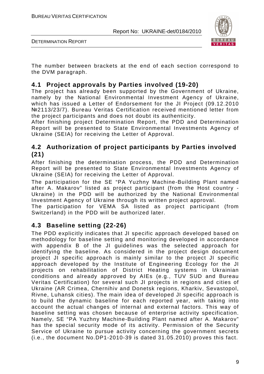

DETERMINATION REPORT

The number between brackets at the end of each section correspond to the DVM paragraph.

# **4.1 Project approvals by Parties involved (19-20)**

The project has already been supported by the Government of Ukraine, namely by the National Environmental Investment Agency of Ukraine, which has issued a Letter of Endorsement for the JI Project (09.12.2010 №2113/23/7). Bureau Veritas Certification received mentioned letter from the project participants and does not doubt its authenticity.

After finishing project Determination Report, the PDD and Determination Report will be presented to State Environmental Investments Agency of Ukraine (SEIA) for receiving the Letter of Approval.

# **4.2 Authorization of project participants by Parties involved (21)**

After finishing the determination process, the PDD and Determination Report will be presented to State Environmental Investments Agency of Ukraine (SEIA) for receiving the Letter of Approval.

The participation for the SE "PA Yuzhny Machine-Building Plant named after A. Makarov" listed as project participant (from the Host country - Ukraine) in the PDD will be authorized by the National Environmental Investment Agency of Ukraine through its written project approval.

The participation for VEMA SA listed as project participant (from Switzerland) in the PDD will be authorized later.

# **4.3 Baseline setting (22-26)**

The PDD explicitly indicates that JI specific approach developed based on methodology for baseline setting and monitoring developed in accordance with appendix B of the JI guidelines was the selected approach for identifying the baseline. As considered in the project design document project JI specific approach is mainly similar to the project JI specific approach developed by the Institute of Engineering Ecology for the JI projects on rehabilitation of District Heating systems in Ukrainian conditions and already approved by AIEs (e.g., TUV SUD and Bureau Veritas Certification) for several such JI projects in regions and cities of Ukraine (AR Crimea, Chernihiv and Donetsk regions, Kharkiv, Sevastopol, Rivne, Luhansk cities). The main idea of developed JI specific approach is to build the dynamic baseline for each reported year, with taking into account the actual changes of internal and external factors. This way of baseline setting was chosen because of enterprise activity specification. Namely, SE "PA Yuzhny Machine-Building Plant named after A. Makarov" has the special security mode of its activity. Permission of the Security Service of Ukraine to pursue activity concerning the government secrets (i.e., the document No.DP1-2010-39 is dated 31.05.2010) proves this fact.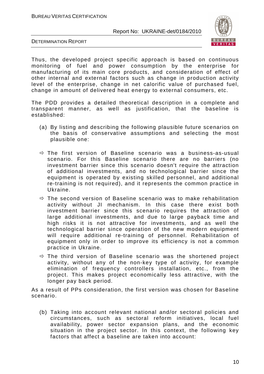

DETERMINATION REPORT

Thus, the developed project specific approach is based on continuous monitoring of fuel and power consumption by the enterprise for manufacturing of its main core products, and consideration of effect of other internal and external factors such as change in production activity level of the enterprise, change in net calorific value of purchased fuel, change in amount of delivered heat energy to external consumers, etc.

The PDD provides a detailed theoretical description in a complete and transparent manner, as well as justification, that the baseline is established:

- (a) By listing and describing the following plausible future scenarios on the basis of conservative assumptions and selecting the most plausible one:
- The first version of Baseline scenario was a business-as-usual scenario. For this Baseline scenario there are no barriers (no investment barrier since this scenario doesn't require the attraction of additional investments, and no technological barrier since the equipment is operated by existing skilled personnel, and additional re-training is not required), and it represents the common practice in Ukraine.
- $\Rightarrow$  The second version of Baseline scenario was to make rehabilitation activity without JI mechanism. In this case there exist both investment barrier since this scenario requires the attraction of large additional investments, and due to large payback time and high risks it is not attractive for investments, and as well the technological barrier since operation of the new modern equipment will require additional re-training of personnel. Rehabilitation of equipment only in order to improve its efficiency is not a common practice in Ukraine.
- $\Rightarrow$  The third version of Baseline scenario was the shortened project activity, without any of the non-key type of activity, for example elimination of frequency controllers installation, etc., from the project. This makes project economically less attractive, with the longer pay back period.

As a result of PPs consideration, the first version was chosen for Baseline scenario.

(b) Taking into account relevant national and/or sectoral policies and circumstances, such as sectoral reform initiatives, local fuel availability, power sector expansion plans, and the economic situation in the project sector. In this context, the following key factors that affect a baseline are taken into account: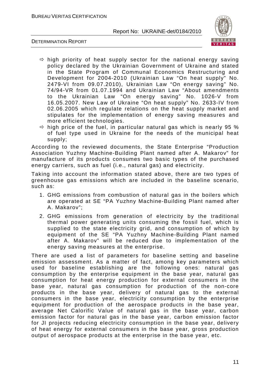

DETERMINATION REPORT

- $\Rightarrow$  high priority of heat supply sector for the national energy saving policy declared by the Ukrainian Government of Ukraine and stated in the State Program of Communal Economics Restructuring and Development for 2004-2010 (Ukrainian Law "On heat supply" No. 2479-VI from 09.07.2010), Ukrainian Law "On energy saving" No. 74/94-VR from 01.07.1994 and Ukrainian Law "About amendments to the Ukrainian Law "On energy saving" No. 1026-V from 16.05.2007. New Law of Ukraine "On heat supply" No. 2633-IV from 02.06.2005 which regulate relations on the heat supply market and stipulates for the implementation of energy saving measures and more efficient technologies.
- $\Rightarrow$  high price of the fuel, in particular natural gas which is nearly 95 % of fuel type used in Ukraine for the needs of the municipal heat supply;

According to the reviewed documents, the State Enterprise "Production Association Yuzhny Machine-Building Plant named after A. Makarov" for manufacture of its products consumes two basic types of the purchased energy carriers, such as fuel (i.e., natural gas) and electricity.

Taking into account the information stated above, there are two types of greenhouse gas emissions which are included in the baseline scenario, such as:

- 1. GHG emissions from combustion of natural gas in the boilers which are operated at SE "PA Yuzhny Machine-Building Plant named after A. Makarov";
- 2. GHG emissions from generation of electricity by the traditional thermal power generating units consuming the fossil fuel, which is supplied to the state electricity grid, and consumption of which by equipment of the SE "PA Yuzhny Machine-Building Plant named after A. Makarov" will be reduced due to implementation of the energy saving measures at the enterprise.

There are used a list of parameters for baseline setting and baseline emission assessment. As a matter of fact, among key parameters which used for baseline establishing are the following ones: natural gas consumption by the enterprise equipment in the base year, natural gas consumption for heat energy production for external consumers in the base year, natural gas consumption for production of the non-core products in the base year, delivery of natural gas to the external consumers in the base year, electricity consumption by the enterprise equipment for production of the aerospace products in the base year, average Net Calorific Value of natural gas in the base year, carbon emission factor for natural gas in the base year, carbon emission factor for JI projects reducing electricity consumption in the base year, delivery of heat energy for external consumers in the base year, gross production output of aerospace products at the enterprise in the base year, etc.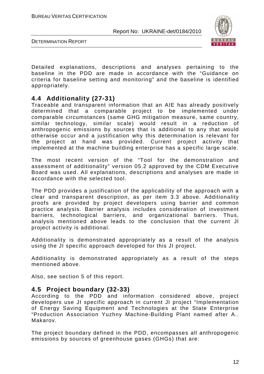

DETERMINATION REPORT

Detailed explanations, descriptions and analyses pertaining to the baseline in the PDD are made in accordance with the "Guidance on criteria for baseline setting and monitoring" and the baseline is identified appropriately.

# **4.4 Additionality (27-31)**

Traceable and transparent information that an AIE has already positively determined that a comparable project to be implemented under comparable circumstances (same GHG mitigation measure, same country, similar technology, similar scale) would result in a reduction of anthropogenic emissions by sources that is additional to any that would otherwise occur and a justification why this determination is relevant for the project at hand was provided. Current project activity that implemented at the machine building enterprise has a specific large scale.

The most recent version of the "Tool for the demonstration and assessment of additionality" version 05.2 approved by the CDM Executive Board was used. All explanations, descriptions and analyses are made in accordance with the selected tool.

The PDD provides a justification of the applicability of the approach with a clear and transparent description, as per item 3.3 above. Additionality proofs are provided by project developers using barrier and common practice analysis. Barrier analysis includes consideration of investment barriers, technological barriers, and organizational barriers. Thus, analysis mentioned above leads to the conclusion that the current JI project activity is additional.

Additionality is demonstrated appropriately as a result of the analysis using the JI specific approach developed for this JI project.

Additionality is demonstrated appropriately as a result of the steps mentioned above.

Also, see section 5 of this report.

### **4.5 Project boundary (32-33)**

According to the PDD and information considered above, project developers use JI specific approach in current JI project "Implementation of Energy Saving Equipment and Technologies at the State Enterprise "Production Association Yuzhny Machine-Building Plant named after A.. Makarov.

The project boundary defined in the PDD, encompasses all anthropogenic emissions by sources of greenhouse gases (GHGs) that are: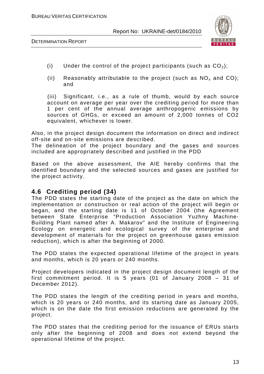

DETERMINATION REPORT

- (i) Under the control of the project participants (such as  $CO<sub>2</sub>$ );
- (ii) Reasonably attributable to the project (such as  $NO<sub>x</sub>$  and CO); and

(iii) Significant, i.e., as a rule of thumb, would by each source account on average per year over the crediting period for more than 1 per cent of the annual average anthropogenic emissions by sources of GHGs, or exceed an amount of 2,000 tonnes of CO2 equivalent, whichever is lower.

Also, in the project design document the information on direct and indirect off-site and on-site emissions are described.

The delineation of the project boundary and the gases and sources included are appropriately described and justified in the PDD

Based on the above assessment, the AIE hereby confirms that the identified boundary and the selected sources and gases are justified for the project activity.

### **4.6 Crediting period (34)**

The PDD states the starting date of the project as the date on which the implementation or construction or real action of the project will begin or began, and the starting date is 11 of October 2004 (the Agreement between State Enterprise "Production Association Yuzhny Machine-Building Plant named after A. Makarov" and the Institute of Engineering Ecology on energetic and ecological survey of the enterprise and development of materials for the project on greenhouse gases emission reduction), which is after the beginning of 2000.

The PDD states the expected operational lifetime of the project in years and months, which is 20 years or 240 months.

Project developers indicated in the project design document length of the first commitment period. It is 5 years (01 of January 2008 – 31 of December 2012).

The PDD states the length of the crediting period in years and months, which is 20 years or 240 months, and its starting date as January 2005, which is on the date the first emission reductions are generated by the project.

The PDD states that the crediting period for the issuance of ERUs starts only after the beginning of 2008 and does not extend beyond the operational lifetime of the project.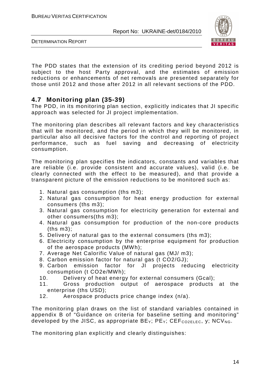

DETERMINATION REPORT

The PDD states that the extension of its crediting period beyond 2012 is subject to the host Party approval, and the estimates of emission reductions or enhancements of net removals are presented separately for those until 2012 and those after 2012 in all relevant sections of the PDD.

# **4.7 Monitoring plan (35-39)**

The PDD, in its monitoring plan section, explicitly indicates that JI specific approach was selected for JI project implementation.

The monitoring plan describes all relevant factors and key characteristics that will be monitored, and the period in which they will be monitored, in particular also all decisive factors for the control and reporting of project performance, such as fuel saving and decreasing of electricity consumption.

The monitoring plan specifies the indicators, constants and variables that are reliable (i.e. provide consistent and accurate values), valid (i.e. be clearly connected with the effect to be measured), and that provide a transparent picture of the emission reductions to be monitored such as:

- 1. Natural gas consumption (ths m3);
- 2. Natural gas consumption for heat energy production for external consumers (ths m3);
- 3. Natural gas consumption for electricity generation for external and other consumers(ths m3);
- 4. Natural gas consumption for production of the non-core products (ths m3);
- 5. Delivery of natural gas to the external consumers (ths m3);
- 6. Electricity consumption by the enterprise equipment for production of the aerospace products (MWh);
- 7. Average Net Calorific Value of natural gas (MJ/ m3);
- 8. Carbon emission factor for natural gas (t CO2/GJ);
- 9. Carbon emission factor for JI projects reducing electricity consumption (t CO2e/MWh);
- 10. Delivery of heat energy for external consumers (Gcal);
- 11. Gross production output of aerospace products at the enterprise (ths USD);
- 12. Aerospace products price change index (n/a).

The monitoring plan draws on the list of standard variables contained in appendix B of "Guidance on criteria for baseline setting and monitoring" developed by the JISC, as appropriate  $BE_Y$ ;  $PE_Y$ ;  $CEF_{CO2ELEC}$ , y;  $NCV_{NG}$ .

The monitoring plan explicitly and clearly distinguishes: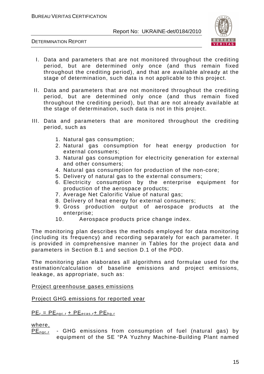

DETERMINATION REPORT

- I. Data and parameters that are not monitored throughout the crediting period, but are determined only once (and thus remain fixed throughout the crediting period), and that are available already at the stage of determination, such data is not applicable to this project.
- II. Data and parameters that are not monitored throughout the crediting period, but are determined only once (and thus remain fixed throughout the crediting period), but that are not already available at the stage of determination, such data is not in this project.
- III. Data and parameters that are monitored throughout the crediting period, such as
	- 1. Natural gas consumption;
	- 2. Natural gas consumption for heat energy production for external consumers;
	- 3. Natural gas consumption for electricity generation for external and other consumers;
	- 4. Natural gas consumption for production of the non-core;
	- 5. Delivery of natural gas to the external consumers;
	- 6. Electricity consumption by the enterprise equipment for production of the aerospace products;
	- 7. Average Net Calorific Value of natural gas;
	- 8. Delivery of heat energy for external consumers;
	- 9. Gross production output of aerospace products at the enterprise;
	- 10. Aerospace products price change index.

The monitoring plan describes the methods employed for data monitoring (including its frequency) and recording separately for each parameter. It is provided in comprehensive manner in Tables for the project data and parameters in Section B.1 and section D.1 of the PDD.

The monitoring plan elaborates all algorithms and formulae used for the estimation/calculation of baseline emissions and project emissions, leakage, as appropriate, such as:

Project greenhouse gases emissions

Project GHG emissions for reported year

 $PE_r = PE_{\text{ngc}, r} + PE_{\text{ecas}, r} + PE_{\text{hg}, r}$ 

where,

PE<sub>nac.r</sub> - GHG emissions from consumption of fuel (natural gas) by equipment of the SE "PA Yuzhny Machine-Building Plant named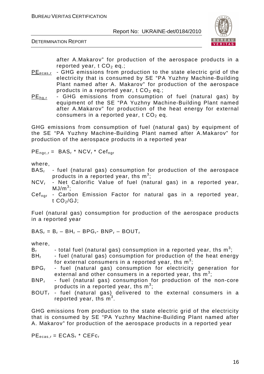



after A.Makarov" for production of the aerospace products in a reported year,  $t CO<sub>2</sub>$  eq.;

- $PE_{\text{ecas,r}}$  GHG emissions from production to the state electric grid of the electricity that is consumed by SE "PA Yuzhny Machine-Building Plant named after A. Makarov" for production of the aerospace products in a reported year,  $t CO<sub>2</sub>$  eq.;
- $PE<sub>ha,r</sub>$  GHG emissions from consumption of fuel (natural gas) by equipment of the SE "PA Yuzhny Machine-Building Plant named after A.Makarov" for production of the heat energy for external consumers in a reported year,  $t CO<sub>2</sub>$  eq.

GHG emissions from consumption of fuel (natural gas) by equipment of the SE "PA Yuzhny Machine-Building Plant named after A.Makarov" for production of the aerospace products in a reported year

 $PE_{\text{ngc,r}} = \text{BAS}_{r} * \text{NCV}_{r} * \text{Cef}_{\text{ngr}}$ 

where,

- $BAS<sub>r</sub>$  fuel (natural gas) consumption for production of the aerospace products in a reported year, ths  $m^3$ ;
- NCV<sub>r</sub> Net Calorific Value of fuel (natural gas) in a reported year,  $MJ/m<sup>3</sup>;$
- Cef<sub>ngr</sub> Carbon Emission Factor for natural gas in a reported year, t  $CO<sub>2</sub>/GJ$ ;

Fuel (natural gas) consumption for production of the aerospace products in a reported year

 $BAS_r = B_r - BH_r - BPG_r - BNP_r - BOUT_r$ 

where,

- $\mathsf{B}_{\mathsf{r}}$  total fuel (natural gas) consumption in a reported year, ths  $\mathsf{m}^3;$
- $BH<sub>r</sub>$  fuel (natural gas) consumption for production of the heat energy for external consumers in a reported year, ths  $\mathsf{m}^3;$
- BPG<sub>r</sub> fuel (natural gas) consumption for electricity generation for external and other consumers in a reported year, ths  $m^3$ ;
- $BNP<sub>r</sub>$  fuel (natural gas) consumption for production of the non-core products in a reported year, ths  $m^3$ ;
- $BOUT -$  fuel (natural gas) delivered to the external consumers in a reported year, ths  $m^3$ .

GHG emissions from production to the state electric grid of the electricity that is consumed by SE "PA Yuzhny Machine-Building Plant named after A. Makarov" for production of the aerospace products in a reported year

 $PE_{ecas,r} = ECAS_r * CEFc_r$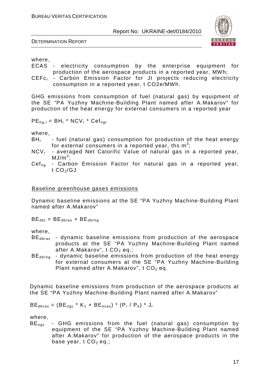DETERMINATION REPORT



where,

- ECAS electricity consumption by the enterprise equipment for production of the aerospace products in a reported year, MWh;
- CEFc<sub>r</sub> Carbon Emission Factor for JI projects reducing electricity consumption in a reported year, t CO2e/MWh.

GHG emissions from consumption of fuel (natural gas) by equipment of the SE "PA Yuzhny Machine-Building Plant named after A.Makarov" for production of the heat energy for external consumers in a reported year

 $PE_{hq,r} = BH_r * NCV_r * Cef_{nqr}$ 

where,

- $BH<sub>r</sub>$  fuel (natural gas) consumption for production of the heat energy for external consumers in a reported year, ths  $m^3$ ;
- $NCV<sub>r</sub>$  averaged Net Calorific Value of natural gas in a reported year,  $MJ/m<sup>3</sup>$ ;
- $Cef_{na}$  Carbon Emission Factor for natural gas in a reported year, t  $CO<sub>2</sub>/GJ$

#### Baseline greenhouse gases emissions

Dynamic baseline emissions at the SE "PA Yuzhny Machine-Building Plant named after A.Makarov"

 $BE_{\text{dbr}} = BE_{\text{dbras}} + BE_{\text{dbrha}}$ 

where,

- $BE<sub>dbras</sub>$  dynamic baseline emissions from production of the aerospace products at the SE "PA Yuzhny Machine-Building Plant named after A.Makarov",  $t$  CO<sub>2</sub> eq.;
- BE<sub>dhrha</sub> dynamic baseline emissions from production of the heat energy for external consumers at the SE "PA Yuzhny Machine-Building Plant named after A.Makarov",  $t$  CO<sub>2</sub> eq.

Dynamic baseline emissions from production of the aerospace products at the SE "PA Yuzhny Machine-Building Plant named after A.Makarov"

 $BE<sub>dbras</sub> = (BE<sub>nac</sub> * K<sub>1</sub> + BE<sub>ecas</sub>) * (P<sub>r</sub> / P<sub>b</sub>) * J<sub>r</sub>$ 

where,

BE<sub>ngc</sub> - GHG emissions from the fuel (natural gas) consumption by equipment of the SE "PA Yuzhny Machine-Building Plant named after A.Makarov" for production of the aerospace products in the base year,  $t$  CO<sub>2</sub> eq.;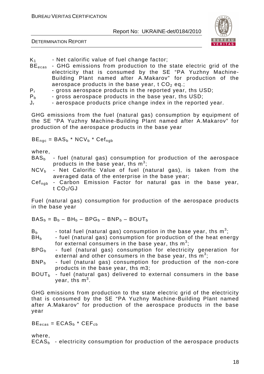

DETERMINATION REPORT

- 
- $K_1$  Net calorific value of fuel change factor;<br>BE<sub>ecas</sub> GHG emissions from production to the - GHG emissions from production to the state electric grid of the electricity that is consumed by the SE "PA Yuzhny Machine-Building Plant named after A.Makarov" for production of the aerospace products in the base year,  $t CO<sub>2</sub> eq.$ ;
- $P_r$  gross aerospace products in the reported year, ths USD;<br> $P_h$  gross aerospace products in the base year, ths USD;
- gross aerospace products in the base year, ths USD;

 $J_{r}$  - aerospace products price change index in the reported year.

GHG emissions from the fuel (natural gas) consumption by equipment of the SE "PA Yuzhny Machine-Building Plant named after A.Makarov" for production of the aerospace products in the base year

 $BE_{\text{nqc}} = BAS_b * NCV_b * Cef_{\text{nqb}}$ 

where,

- $BAS<sub>b</sub>$  fuel (natural gas) consumption for production of the aerospace products in the base year, ths  $m^3$ ;
- $NCV<sub>b</sub>$  Net Calorific Value of fuel (natural gas), is taken from the averaged data of the enterprise in the base year;
- Cef<sub>ngb</sub> Carbon Emission Factor for natural gas in the base year, t  $CO<sub>2</sub>/GJ$

Fuel (natural gas) consumption for production of the aerospace products in the base year

 $BAS_b = B_b - BH_b - BPG_b - BNP_b - BOUT_b$ 

- $B_b$  total fuel (natural gas) consumption in the base year, ths  $m^3$ ;
- $BH<sub>b</sub>$  fuel (natural gas) consumption for production of the heat energy for external consumers in the base year, ths  $m^3$ ;
- $BPG<sub>b</sub>$  fuel (natural gas) consumption for electricity generation for external and other consumers in the base year, ths  $m^3$ ;
- $BNP<sub>b</sub>$  fuel (natural gas) consumption for production of the non-core products in the base year, ths m3;
- $BOUT<sub>b</sub>$  fuel (natural gas) delivered to external consumers in the base year, ths  $\mathsf{m}^3$ .

GHG emissions from production to the state electric grid of the electricity that is consumed by the SE "PA Yuzhny Machine-Building Plant named after A.Makarov" for production of the aerospace products in the base year

 $BE_{ecas} = ECAS_b * CEF_{cb}$ 

where,

 $ECAS<sub>b</sub>$  - electricity consumption for production of the aerospace products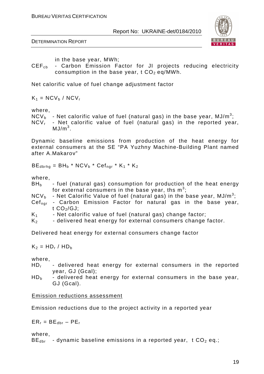DETERMINATION REPORT



in the base year, MWh;

CEF<sub>ch</sub> - Carbon Emission Factor for JI projects reducing electricity consumption in the base year,  $t CO<sub>2</sub> eq/MWh$ .

Net calorific value of fuel change adjustment factor

 $K_1 = NCV_b / NCV_r$ 

where,

- $\mathsf{NCV}_{\mathsf{b}}\;$  Net calorific value of fuel (natural gas) in the base year, MJ/m $^3;$
- $NCV<sub>r</sub>$  Net calorific value of fuel (natural gas) in the reported year,  $MJ/m<sup>3</sup>$ .

Dynamic baseline emissions from production of the heat energy for external consumers at the SE "PA Yuzhny Machine-Building Plant named after A.Makarov"

 $BE_{dbrhq} = BH_b * NCV_b * Cef_{nqr} * K_1 * K_2$ 

where,

- $BH<sub>b</sub>$  fuel (natural gas) consumption for production of the heat energy for external consumers in the base year, ths  $m^3$ ;
- $NCV_b$  Net Calorific Value of fuel (natural gas) in the base year, MJ/m<sup>3</sup>;
- Cef<sub>ngr</sub> Carbon Emission Factor for natural gas in the base year, t  $CO<sub>2</sub>/GJ$ ;
- $K_1$  Net calorific value of fuel (natural gas) change factor;
- $K_2$  delivered heat energy for external consumers change factor.

Delivered heat energy for external consumers change factor

 $K_2 = HD_r / HD_b$ 

where,

- HD<sub>r</sub> delivered heat energy for external consumers in the reported year, GJ (Gcal);
- $HD<sub>b</sub>$  delivered heat energy for external consumers in the base year, GJ (Gcal).

#### Emission reductions assessment

Emission reductions due to the project activity in a reported year

 $ER_r = BE_{\text{dbr}} - PE_r$ 

where,

 $BE<sub>dbr</sub>$  - dynamic baseline emissions in a reported year, t  $CO<sub>2</sub>$  eq.;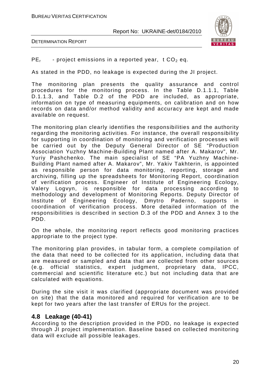



 $PE<sub>r</sub>$  - project emissions in a reported year, t CO<sub>2</sub> eq.

As stated in the PDD, no leakage is expected during the JI project.

The monitoring plan presents the quality assurance and control procedures for the monitoring process. In the Table D.1.1.1, Table D.1.1.3, and Table D.2 of the PDD are included, as appropriate, information on type of measuring equipments, on calibration and on how records on data and/or method validity and accuracy are kept and made available on request.

The monitoring plan clearly identifies the responsibilities and the authority regarding the monitoring activities. For instance, the overall responsibility for supporting in coordination of monitoring and verification processes will be carried out by the Deputy General Director of SE "Production Association Yuzhny Machine-Building Plant named after A. Makarov", Mr. Yuriy Pashchenko. The main specialist of SE "PA Yuzhny Machine-Building Plant named after A. Makarov", Mr. Yakiv Takhterin, is appointed as responsible person for data monitoring, reporting, storage and archiving, filling up the spreadsheets for Monitoring Report, coordination of verification process. Engineer of Institute of Engineering Ecology, Valery Logvyn, is responsible for data processing according to methodology and development of Monitoring Reports. Deputy Director of Institute of Engineering Ecology, Dmytro Paderno, supports in coordination of verification process. More detailed information of the responsibilities is described in section D.3 of the PDD and Annex 3 to the PDD.

On the whole, the monitoring report reflects good monitoring practices appropriate to the project type.

The monitoring plan provides, in tabular form, a complete compilation of the data that need to be collected for its application, including data that are measured or sampled and data that are collected from other sources (e.g. official statistics, expert judgment, proprietary data, IPCC, commercial and scientific literature etc.) but not including data that are calculated with equations.

During the site visit it was clarified (appropriate document was provided on site) that the data monitored and required for verification are to be kept for two years after the last transfer of ERUs for the project.

### **4.8 Leakage (40-41)**

According to the description provided in the PDD, no leakage is expected through JI project implementation. Baseline based on collected monitoring data will exclude all possible leakages.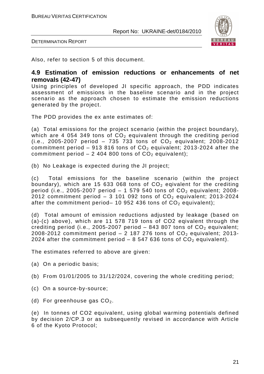

DETERMINATION REPORT

Also, refer to section 5 of this document.

#### **4.9 Estimation of emission reductions or enhancements of net removals (42-47)**

Using principles of developed JI specific approach, the PDD indicates assessment of emissions in the baseline scenario and in the project scenario as the approach chosen to estimate the emission reductions generated by the project.

The PDD provides the ex ante estimates of:

(a) Total emissions for the project scenario (within the project boundary), which are 4 054 349 tons of  $CO<sub>2</sub>$  equivalent through the crediting period (i.e., 2005-2007 period - 735 733 tons of  $CO_2$  equivalent; 2008-2012 commitment period – 913 816 tons of  $CO<sub>2</sub>$  equivalent; 2013-2024 after the commitment period  $-2$  404 800 tons of  $CO<sub>2</sub>$  equivalent);

(b) No Leakage is expected during the JI project;

(c) Total emissions for the baseline scenario (within the project boundary), which are 15 633 068 tons of  $CO<sub>2</sub>$  eqivalent for the crediting period (i.e., 2005-2007 period  $-1$  579 540 tons of  $CO<sub>2</sub>$  equivalent; 2008-2012 commitment period  $-3$  101 092 tons of  $CO<sub>2</sub>$  equivalent; 2013-2024 after the commitment period– 10 952 436 tons of  $CO<sub>2</sub>$  equivalent);

(d) Total amount of emission reductions adjusted by leakage (based on (a)-(c) above), which are 11 578 719 tons of CO2 eqivalent through the crediting period (i.e., 2005-2007 period  $-$  843 807 tons of  $CO<sub>2</sub>$  equivalent; 2008-2012 commitment period  $-$  2 187 276 tons of  $CO<sub>2</sub>$  equivalent; 2013-2024 after the commitment period – 8 547 636 tons of  $CO<sub>2</sub>$  equivalent).

The estimates referred to above are given:

- (a) On a periodic basis;
- (b) From 01/01/2005 to 31/12/2024, covering the whole crediting period;
- (c) On a source-by-source;
- (d) For greenhouse gas  $CO<sub>2</sub>$ .

(e) In tonnes of CO2 equivalent, using global warming potentials defined by decision 2/CP.3 or as subsequently revised in accordance with Article 6 of the Kyoto Protocol;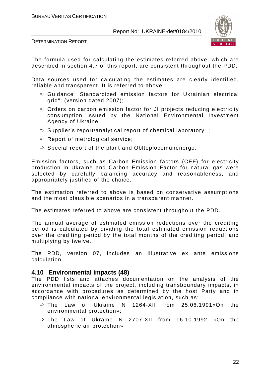

DETERMINATION REPORT

The formula used for calculating the estimates referred above, which are described in section 4.7 of this report, are consistent throughout the PDD.

Data sources used for calculating the estimates are clearly identified, reliable and transparent. It is referred to above:

- Guidance "Standardized emission factors for Ukrainian electrical grid"; (version dated 2007);
- Orders on carbon emission factor for JI projects reducing electricity consumption issued by the National Environmental Investment Agency of Ukraine
- Supplier's report/analytical report of chemical laboratory ;
- $\Leftrightarrow$  Report of metrological service;
- Special report of the plant and Oblteplocomunenergo;

Emission factors, such as Carbon Emission factors (CEF) for electricity production in Ukraine and Carbon Emission Factor for natural gas were selected by carefully balancing accuracy and reasonableness, and appropriately justified of the choice.

The estimation referred to above is based on conservative assumptions and the most plausible scenarios in a transparent manner.

The estimates referred to above are consistent throughout the PDD.

The annual average of estimated emission reductions over the crediting period is calculated by dividing the total estimated emission reductions over the crediting period by the total months of the crediting period, and multiplying by twelve.

The PDD, version 07, includes an illustrative ex ante emissions calculation.

#### **4.10 Environmental impacts (48)**

The PDD lists and attaches documentation on the analysis of the environmental impacts of the project, including transboundary impacts, in accordance with procedures as determined by the host Party and in compliance with national environmental legislation, such as:

- $\Rightarrow$  The Law of Ukraine N 1264-XII from 25.06.1991«On the environmental protection»;
- The Law of Ukraine N 2707-XII from 16.10.1992 «On the atmospheric air protection»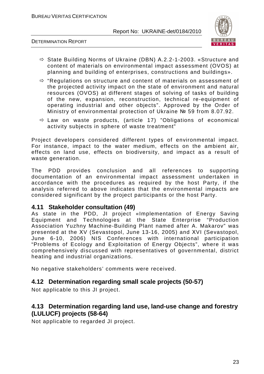

#### DETERMINATION REPORT

- State Building Norms of Ukraine (DBN) А.2.2-1-2003. «Structure and content of materials on environmental impact assessment (OVOS) at planning and building of enterprises, constructions and buildings».
- $\Leftrightarrow$  "Regulations on structure and content of materials on assessment of the projected activity impact on the state of environment and natural resources (OVOS) at different stages of solving of tasks of building of the new, expansion, reconstruction, technical re-equipment of operating industrial and other objects". Approved by the Order of Ministry of environmental protection of Ukraine № 59 from 8.07.92.
- Law on waste products, (article 17) "Obligations of economical activity subjects in sphere of waste treatment"

Project developers considered different types of environmental impact. For instance, impact to the water medium, effects on the ambient air, effects on land use, effects on biodiversity, and impact as a result of waste generation.

The PDD provides conclusion and all references to supporting documentation of an environmental impact assessment undertaken in accordance with the procedures as required by the host Party, if the analysis referred to above indicates that the environmental impacts are considered significant by the project participants or the host Party.

#### **4.11 Stakeholder consultation (49)**

As state in the PDD, JI project «Implementation of Energy Saving Equipment and Technologies at the State Enterprise "Production Association Yuzhny Machine-Building Plant named after A. Makarov" was presented at the ХV (Sevastopol, June 13-16, 2005) and ХVI (Sevastopol, June 6-10, 2006) NIS Conferences with international participation "Problems of Ecology and Exploitation of Energy Objects", where it was comprehensively discussed with representatives of governmental, district heating and industrial organizations.

No negative stakeholders' comments were received.

### **4.12 Determination regarding small scale projects (50-57)**

Not applicable to this JI project.

# **4.13 Determination regarding land use, land-use change and forestry (LULUCF) projects (58-64)**

Not applicable to regarded JI project.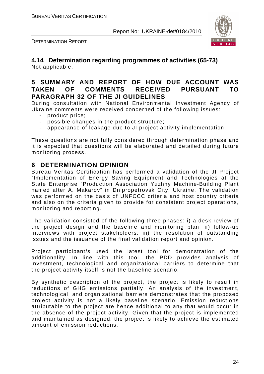DETERMINATION REPORT



#### **4.14 Determination regarding programmes of activities (65-73)**  Not applicable.

# **5 SUMMARY AND REPORT OF HOW DUE ACCOUNT WAS TAKEN OF COMMENTS RECEIVED PURSUANT TO PARAGRAPH 32 OF THE JI GUIDELINES**

During consultation with National Environmental Investment Agency of Ukraine comments were received concerned of the following issues:

- product price;
- possible changes in the product structure;
- appearance of leakage due to JI project activity implementation.

These questions are not fully considered through determination phase and it is expected that questions will be elaborated and detailed during future monitoring process.

### **6 DETERMINATION OPINION**

Bureau Veritas Certification has performed a validation of the JI Project "Implementation of Energy Saving Equipment and Technologies at the State Enterprise "Production Association Yuzhny Machine-Building Plant named after A. Makarov" in Dnipropetrovsk City, Ukraine. The validation was performed on the basis of UNFCCC criteria and host country criteria and also on the criteria given to provide for consistent project operations, monitoring and reporting.

The validation consisted of the following three phases: i) a desk review of the project design and the baseline and monitoring plan; ii) follow-up interviews with project stakeholders; iii) the resolution of outstanding issues and the issuance of the final validation report and opinion.

Project participant/s used the latest tool for demonstration of the additionality. In line with this tool, the PDD provides analysis of investment, technological and organizational barriers to determine that the project activity itself is not the baseline scenario.

By synthetic description of the project, the project is likely to result in reductions of GHG emissions partially. An analysis of the investment, technological, and organizational barriers demonstrates that the proposed project activity is not a likely baseline scenario. Emission reductions attributable to the project are hence additional to any that would occur in the absence of the project activity. Given that the project is implemented and maintained as designed, the project is likely to achieve the estimated amount of emission reductions.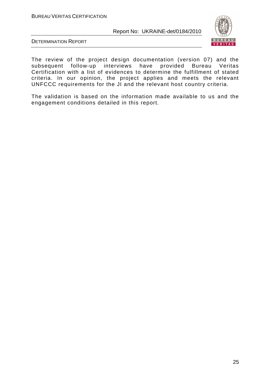

DETERMINATION REPORT

The review of the project design documentation (version 07) and the subsequent follow-up interviews have provided Bureau Veritas Certification with a list of evidences to determine the fulfillment of stated criteria. In our opinion, the project applies and meets the relevant UNFCCC requirements for the JI and the relevant host country criteria.

The validation is based on the information made available to us and the engagement conditions detailed in this report.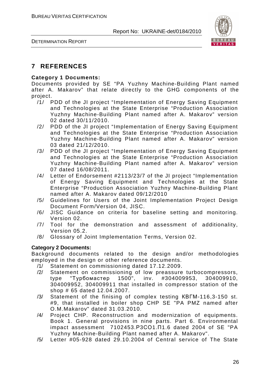

DETERMINATION REPORT

# **7 REFERENCES**

#### **Category 1 Documents:**

Documents provided by SE "PA Yuzhny Machine-Building Plant named after A. Makarov" that relate directly to the GHG components of the project.

- /1/ PDD of the JI project "Implementation of Energy Saving Equipment and Technologies at the State Enterprise "Production Association Yuzhny Machine-Building Plant named after A. Makarov" version 02 dated 30/11/2010.
- /2/ PDD of the JI project "Implementation of Energy Saving Equipment and Technologies at the State Enterprise "Production Association Yuzhny Machine-Building Plant named after A. Makarov" version 03 dated 21/12/2010.
- /3/ PDD of the JI project "Implementation of Energy Saving Equipment and Technologies at the State Enterprise "Production Association Yuzhny Machine-Building Plant named after A. Makarov" version 07 dated 16/08/2011.
- /4/ Letter of Endorsement #2113/23/7 of the JI project "Implementation of Energy Saving Equipment and Technologies at the State Enterprise "Production Association Yuzhny Machine-Building Plant named after A. Makarov dated 09/12/2010
- /5/ Guidelines for Users of the Joint Implementation Project Design Document Form/Version 04, JISC.
- /6/ JISC Guidance on criteria for baseline setting and monitoring. Version 02.
- /7/ Tool for the demonstration and assessment of additionality, Version 05.2.
- /8/ Glossary of Joint Implementation Terms, Version 02.

#### **Category 2 Documents:**

Background documents related to the design and/or methodologies employed in the design or other reference documents.

- /1/ Statement on commissioning dated 17.12.2009.
- /2/ Statement on commissioning of low preassure turbocompressors, type "Турбомастер 1500", inv. #304009953, 304009910, 304009952, 304009911 that installed in compressor station of the shop # 65 dated 12.04.2007.
- /3/ Statement of the finising of complex testing КВГМ-116,3-150 st. #9, that installed in boiler shop CHP SE "PA PMZ named after O.M.Makarov" dated 31.03.2010.
- /4/ Project CHP. Reconstruction and modernization of equipments. Book 1. General provisions in nine parts. Part 6. Environmental impact assessment 7102453.Р3СО1.П1.6 dated 2004 of SE "PA Yuzhny Machine-Building Plant named after A. Makarov".
- /5/ Letter #05-928 dated 29.10.2004 of Central service of The State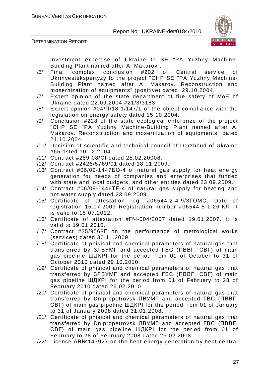

DETERMINATION REPORT

investment expertise of Ukraine to SE "PA Yuzhny Machine-Building Plant named after A. Makarov".

- /6/ Final complex conclusion #202 of Central service of Ukrinvestekspertyzy to the project "CHP SE "PA Yuzhny Machine-Building Plant named after A. Makarov. Reconstruction and mosernization of equipments" (positive) dated 29.10.2004.
- /7/ Expert opinion of the state department of fire safety of MoE of Ukraine dated 22.09.2004 #21/3/3183.
- /8/ Expert opinion #04/П/18-1/147/1 of the object compliance with the legislation on energy safety dated 15.10.2004.
- /9/ Conclusion #228 of the state ecological enterprize of the project "CHP SE "PA Yuzhny Machine-Building Plant named after A. Makarov. Reconstruction and mosernization of equipments" dated 21.10.2004.
- /10/ Decision of scientific and technical council of Derzhbud of Ukraine #65 dsted 10.12.2004.
- /11/ Contract #259-08/СІ dated 25.02.20008.
- /12/ Contract #2426/5769/01 dated 18.11.2009.
- /13/ Contract #06/09-1447БО-4 of natural gas supply for heat energy generation for needs of companies and enterprises that funded with state and local budgets, and other entities dated 23.09.2009.
- /14/ Contract #06/09-1446ТЕ-4 of natural gas supply for heating and hot water supply dated 23.09.2009.
- /15/ Certificate of attestation reg. #06544-2-4-9/3ГОМС. Date of registration 15.07.2009 Registration number #06544-5-1-26-КЛ. It is valid to 15.07.2012.
- /16/ Certificate of attestation #ПЧ-004/2007 dated 19.01.2007. It is valid to 19.01.2010.
- /17/ Contract #25/9568Г on the performance of metrological works (services) dated 30.11.2009.
- /18/ Certificate of phisical and chemical parameters of natural gas that transferred by ЗЛВУМГ and accepted ГВС (ПВВГ, СВГ) of main gas pipeline ШДКРІ for the period from 01 of October to 31 of October 2010 dated 29.10.2010.
- /19/ Certificate of phisical and chemical parameters of natural gas that transferred by ЗЛВУМГ and accepted ГВС (ПВВГ, СВГ) of main gas pipeline ШДКРІ for the period from 01 of February to 28 of February 2010 dated 26.02.2010.
- /20/ Certificate of phisical and chemical parameters of natural gas that transferred by Dnipropetrovsk ЛВУМГ and accepted ГВС (ПВВГ, СВГ) of main gas pipeline ШДКРІ for the period from 01 of January to 31 of January 2008 dated 31.01.2008.
- /21/ Certificate of phisical and chemical parameters of natural gas that transferred by Dnipropetrovsk ЛВУМГ and accepted ГВС (ПВВГ, СВГ) of main gas pipeline ШДКРІ for the period from 01 of February to 28 of February 2008 dated 29.02.2008.
- /22/ Licence АВ№147927 on the heat energy generation by heat central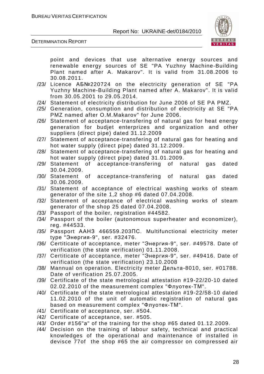

DETERMINATION REPORT

point and devices that use alternative energy sources and renewable energy sources of SE "PA Yuzhny Machine-Building Plant named after A. Makarov". It is valid from 31.08.2006 to 30.08.2011.

- /23/ Licence АБ№220724 on the electricity generation of SE "PA Yuzhny Machine-Building Plant named after A. Makarov". It is valid from 30.05.2001 to 29.05.2014.
- /24/ Statement of electricity distribution for June 2006 of SE PA PMZ.
- /25/ Generation, consumption and distribution of electricity at SE "PA PMZ named after O.M.Makarov" for June 2006.
- /26/ Statement of acceptance-transfering of natural gas for heat energy generation for budjet enterprizes and organization and other suppliers (direct pipe) dated 31.12.2009
- /27/ Statement of acceptance-transfering of natural gas for heating and hot water supply (direct pipe) dated 31.12.2009.
- /28/ Statement of acceptance-transfering of natural gas for heating and hot water supply (direct pipe) dated 31.01.2009.
- /29/ Statement of acceptance-transfering of natural gas dated 30.04.2009.
- /30/ Statement of acceptance-transfering of natural gas dated 30.06.2009.
- /31/ Statement of acceptance of electrical washing works of steam generator of the site 1,2 shop #6 dated 07.04.2008.
- /32/ Statement of acceptance of electrical washing works of steam generator of the shop 25 dated 07.04.2008.
- /33/ Passport of the boiler, registration #44582.
- /34/ Passport of the boiler (autonomous superheater and economizer), reg. #44533.
- /35/ Passport ААНЗ 466559.203ПС. Multifunctional electricity meter type "Энергия-9", ser. #32476.
- /36/ Certiticate of acceptance, meter "Энергия-9", ser. #49578. Date of verification (the state verification) 01.11.2008.
- /37/ Certiticate of acceptance, meter "Энергия-9", ser. #49416. Date of verification (the state verification) 23.10.2008
- /38/ Mannual on operation. Electricity meter Дельта-8010, ser. #01788. Date of verification 25.07.2005.
- /39/ Certificate of the state metrological attestation #19-22/20-10 dated 02.02.2010 of the measurement complex "Флуотек-ТМ".
- /40/ Certificate of the state metrological attestation #19-22/58-10 dated 11.02.2010 of the unit of automatic registration of natural gas based on measurement complex "Флуотек-ТМ".
- /41/ Certificate of acceptance, ser. #504.
- /42/ Certificate of acceptance, ser. #505.
- /43/ Order #156"а" of the training for the shop #65 dated 01.12.2009.
- /44/ Decision on the training of labour safety, technical and practical knowledges of the operational and maintenance of installed in devisce 77of the shop #65 the air compressor on compressed air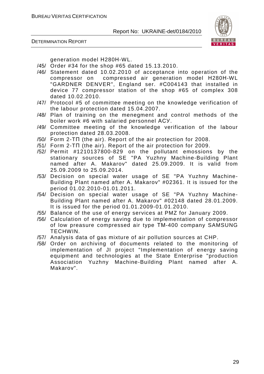



generation model Н280Н-WL.

- /45/ Order #34 for the shop #65 dated 15.13.2010.
- /46/ Statement dated 10.02.2010 of acceptance into operation of the compressor on compressed air generation model Н280Н-WL "GARDNER DENVER", England ser. #С004143 that installed in device 77 compressor station of the shop #65 of complex 308 dated 10.02.2010.
- /47/ Protocol #5 of committee meeting on the knowledge verification of the labour protection dated 15.04.2007.
- /48/ Plan of training on the menegment and control methods of the boiler work #6 with salaried personnel АСУ.
- /49/ Committee meeting of the knowledge verification of the labour protection dated 28.03.2008.
- /50/ Form 2-TП (the air). Report of the air protection for 2008.
- /51/ Form 2-TП (the air). Report of the air protection for 2009.
- /52/ Permit #1210137800-829 on the pollutant emossions by the stationary sources of SE "PA Yuzhny Machine-Building Plant named after A. Makarov" dated 25.09.2009. It is valid from 25.09.2009 to 25.09.2014.
- /53/ Decision on special water usage of SE "PA Yuzhny Machine-Building Plant named after A. Makarov" #02361. It is issued for the period 01.02.2010-01.01.2011.
- /54/ Decision on special water usage of SE "PA Yuzhny Machine-Building Plant named after A. Makarov" #02148 dated 28.01.2009. It is issued for the period 01.01.2009-01.01.2010.
- /55/ Balance of the use of energy services at PMZ for January 2009.
- /56/ Calculation of energy saving due to implementation of compressor of low preasure compressed air type ТМ-400 company SAMSUNG TECHWIN.
- /57/ Analysis data of gas mixture of air pollution sources at CHP.
- /58/ Order on archiving of documents related to the monitoring of implementation of JI project "Implementation of energy saving equipment and technologies at the State Enterprise "production Association Yuzhny Machine-Building Plant named after A. Makarov".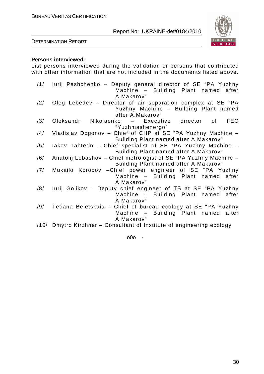

DETERMINATION REPORT

#### **Persons interviewed:**

List persons interviewed during the validation or persons that contributed with other information that are not included in the documents listed above.

| /1/ | lurij Pashchenko - Deputy general director of SE "PA Yuzhny<br>Machine - Building Plant named after |
|-----|-----------------------------------------------------------------------------------------------------|
|     | A.Makarov"                                                                                          |
| /2/ | Oleg Lebedev - Director of air separation complex at SE "PA                                         |
|     | Yuzhny Machine - Building Plant named                                                               |
|     | after A.Makarov"                                                                                    |
| /3/ | <b>FEC</b><br>Oleksandr<br>Nikolaenko – Executive director<br>of                                    |
|     | "Yuzhmashenergo"                                                                                    |
| /4/ | Vladislav Dogonov - Chief of CHP at SE "PA Yuzhny Machine -                                         |
|     | Building Plant named after A.Makarov"                                                               |
| /5/ | lakov Tahterin - Chief specialist of SE "PA Yuzhny Machine -                                        |
|     | Building Plant named after A.Makarov"                                                               |
| /6/ | Anatolij Lobashov - Chief metrologist of SE "PA Yuzhny Machine -                                    |
|     | Building Plant named after A. Makarov"                                                              |
| /7/ | Mukailo Korobov - Chief power engineer of SE "PA Yuzhny                                             |
|     | Machine - Building Plant named after                                                                |
|     | A.Makarov"                                                                                          |
| /8/ | lurij Golikov - Deputy chief engineer of T5 at SE "PA Yuzhny                                        |
|     | Machine - Building Plant named after                                                                |
|     | A.Makarov"                                                                                          |
| /9/ | Tetiana Beletskaia - Chief of bureau ecology at SE "PA Yuzhny                                       |
|     | Machine - Building Plant named after                                                                |
|     | A.Makarov"                                                                                          |
|     | /10/ Dmytro Kirzhner – Consultant of Institute of engineering ecology                               |

o0o -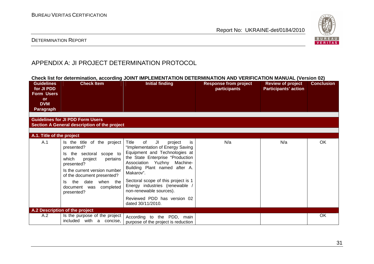

#### DETERMINATION REPORT

# APPENDIX A: JI PROJECT DETERMINATION PROTOCOL

| Check list for determination, according JOINT IMPLEMENTATION DETERMINATION AND VERIFICATION MANUAL (Version 02) |                                                                                                                                                                                                                                                                 |                                                                                                                                                                                                                                                                                                                                                                                   |                                              |                                                         |                   |  |  |
|-----------------------------------------------------------------------------------------------------------------|-----------------------------------------------------------------------------------------------------------------------------------------------------------------------------------------------------------------------------------------------------------------|-----------------------------------------------------------------------------------------------------------------------------------------------------------------------------------------------------------------------------------------------------------------------------------------------------------------------------------------------------------------------------------|----------------------------------------------|---------------------------------------------------------|-------------------|--|--|
| <b>Guidelines</b><br>for JI PDD<br><b>Form Users</b><br><b>or</b><br><b>DVM</b><br><b>Paragraph</b>             | <b>Check Item</b>                                                                                                                                                                                                                                               | <b>Initial finding</b>                                                                                                                                                                                                                                                                                                                                                            | <b>Response from project</b><br>participants | <b>Review of project</b><br><b>Participants' action</b> | <b>Conclusion</b> |  |  |
|                                                                                                                 | <b>Guidelines for JI PDD Form Users</b><br>Section A General description of the project                                                                                                                                                                         |                                                                                                                                                                                                                                                                                                                                                                                   |                                              |                                                         |                   |  |  |
| A.1. Title of the project                                                                                       |                                                                                                                                                                                                                                                                 |                                                                                                                                                                                                                                                                                                                                                                                   |                                              |                                                         |                   |  |  |
| A.1                                                                                                             | Is the title of the project<br>presented?<br>sectoral scope to<br>Is the<br>which<br>pertains<br>project<br>presented?<br>Is the current version number<br>of the document presented?<br>the<br>date when the<br>ls.<br>document was<br>completed<br>presented? | Title<br>of<br>project<br>JI<br>is.<br>"Implementation of Energy Saving<br>Equipment and Technologies at<br>the State Enterprise "Production<br>Association Yuzhny Machine-<br>Building Plant named after A.<br>Makarov".<br>Sectoral scope of this project is 1<br>Energy industries (renewable /<br>non-renewable sources).<br>Reviewed PDD has version 02<br>dated 30/11/2010. | N/a                                          | N/a                                                     | <b>OK</b>         |  |  |
| A.2 Description of the project                                                                                  |                                                                                                                                                                                                                                                                 |                                                                                                                                                                                                                                                                                                                                                                                   |                                              |                                                         |                   |  |  |
| A.2                                                                                                             | Is the purpose of the project<br>included with a concise,                                                                                                                                                                                                       | According to<br>the PDD, main<br>purpose of the project is reduction                                                                                                                                                                                                                                                                                                              |                                              |                                                         | OK                |  |  |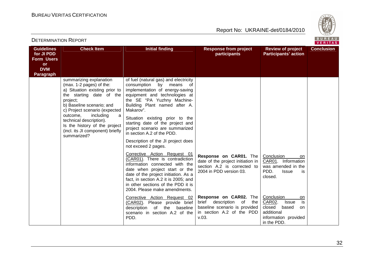

| <b>Guidelines</b><br>for JI PDD<br><b>Form Users</b><br>or<br><b>DVM</b> | <b>Check Item</b>                                                                                                                                                                                                                                                                                                                        | <b>Initial finding</b>                                                                                                                                                                                                                                                                                                                                                                                                                                                                                                                                                                                                                                                                                                       | <b>Response from project</b><br>participants                                                                                       | <b>Review of project</b><br><b>Participants' action</b>                                                                        | <b>Conclusion</b> |
|--------------------------------------------------------------------------|------------------------------------------------------------------------------------------------------------------------------------------------------------------------------------------------------------------------------------------------------------------------------------------------------------------------------------------|------------------------------------------------------------------------------------------------------------------------------------------------------------------------------------------------------------------------------------------------------------------------------------------------------------------------------------------------------------------------------------------------------------------------------------------------------------------------------------------------------------------------------------------------------------------------------------------------------------------------------------------------------------------------------------------------------------------------------|------------------------------------------------------------------------------------------------------------------------------------|--------------------------------------------------------------------------------------------------------------------------------|-------------------|
| <b>Paragraph</b>                                                         | summarizing explanation<br>(max. 1-2 pages) of the:<br>a) Situation existing prior to<br>the starting date of the<br>project;<br>b) Baseline scenario; and<br>c) Project scenario (expected<br>outcome,<br>including<br>a<br>technical description).<br>Is the history of the project<br>(incl. its JI component) briefly<br>summarized? | of fuel (natural gas) and electricity<br>consumption<br>by<br>means<br>of<br>implementation of energy-saving<br>equipment and technologies at<br>the SE "PA Yuzhny Machine-<br>Building Plant named after A.<br>Makarov".<br>Situation existing prior to the<br>starting date of the project and<br>project scenario are summarized<br>in section A.2 of the PDD.<br>Description of the JI project does<br>not exceed 2 pages.<br>Corrective Action Request 01<br>(CAR01). There is contradiction<br>information connected with the<br>date when project start or the<br>date of the project initiation. As a<br>fact, in section A.2 it is 2005; and<br>in other sections of the PDD it is<br>2004. Please make amendments. | Response on CAR01. The<br>date of the project initiation in<br>section A.2 is corrected to<br>2004 in PDD version 03.              | Conclusion<br><b>on</b><br>CAR01. Information<br>was amended in the<br>PDD.<br><b>Issue</b><br>is<br>closed.                   |                   |
|                                                                          |                                                                                                                                                                                                                                                                                                                                          | Corrective Action Request 02<br>Please provide brief<br>(CAR02).<br>of the<br>description<br>baseline<br>scenario in section A.2 of the<br>PDD.                                                                                                                                                                                                                                                                                                                                                                                                                                                                                                                                                                              | Response on CAR02. The<br>brief<br>description<br>of<br>the<br>baseline scenario is provided<br>in section A.2 of the PDD<br>V.03. | Conclusion<br>on<br>is<br>CAR02.<br><b>Issue</b><br>closed<br>based<br>on<br>additional<br>information provided<br>in the PDD. |                   |

DETERMINATION REPORT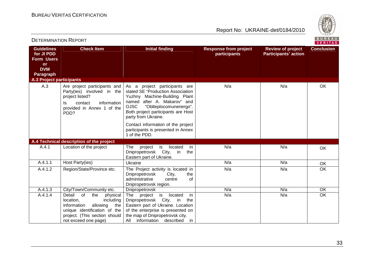

|                                                                                                     |                                                                                                                                                                                        |                                                                                                                                                                                                                                                                         |                                              |                                                         | <u>VERITAS</u>    |  |
|-----------------------------------------------------------------------------------------------------|----------------------------------------------------------------------------------------------------------------------------------------------------------------------------------------|-------------------------------------------------------------------------------------------------------------------------------------------------------------------------------------------------------------------------------------------------------------------------|----------------------------------------------|---------------------------------------------------------|-------------------|--|
| <b>Guidelines</b><br>for JI PDD<br><b>Form Users</b><br><b>or</b><br><b>DVM</b><br><b>Paragraph</b> | <b>Check Item</b>                                                                                                                                                                      | <b>Initial finding</b>                                                                                                                                                                                                                                                  | <b>Response from project</b><br>participants | <b>Review of project</b><br><b>Participants' action</b> | <b>Conclusion</b> |  |
| <b>A.3 Project participants</b>                                                                     |                                                                                                                                                                                        |                                                                                                                                                                                                                                                                         |                                              |                                                         |                   |  |
| A.3                                                                                                 | Party(ies) involved in the<br>project listed?<br>information<br>contact<br>ls<br>provided in Annex 1 of the<br>PDD?                                                                    | Are project participants and   As a project participants are<br>stated SE "Production Association<br>Yuzhny Machine-Building Plant<br>named after A. Makarov" and<br><b>OJSC</b><br>"Oblteplocomunenergo".<br>Both project participants are Host<br>party from Ukraine. | N/a                                          | N/a                                                     | <b>OK</b>         |  |
|                                                                                                     |                                                                                                                                                                                        | Contact information of the project<br>participants is presented in Annex<br>1 of the PDD.                                                                                                                                                                               |                                              |                                                         |                   |  |
|                                                                                                     | A.4 Technical description of the project                                                                                                                                               |                                                                                                                                                                                                                                                                         |                                              |                                                         |                   |  |
| A.4.1                                                                                               | Location of the project                                                                                                                                                                | is<br>located<br>in<br>The<br>project<br>Dnipropetrovsk City, in<br>the<br>Eastern part of Ukraine.                                                                                                                                                                     | N/a                                          | N/a                                                     | OK                |  |
| A.4.1.1                                                                                             | Host Party(ies)                                                                                                                                                                        | Ukraine                                                                                                                                                                                                                                                                 | N/a                                          | N/a                                                     | OK                |  |
| A.4.1.2                                                                                             | Region/State/Province etc.                                                                                                                                                             | The Project activity is located in<br>Dnipropetrovsk<br>City,<br>the<br>administrative<br>of<br>centre<br>Dnipropetrovsk region.                                                                                                                                        | N/a                                          | N/a                                                     | OK                |  |
| A.4.1.3                                                                                             | City/Town/Community etc.                                                                                                                                                               | Dnipropetrovsk                                                                                                                                                                                                                                                          | N/a                                          | N/a                                                     | OK                |  |
| A.4.1.4                                                                                             | Detail<br>of<br>the<br>physical<br>including<br>location,<br>the  <br>information<br>allowing<br>unique identification of the<br>project. (This section should<br>not exceed one page) | is<br>project<br>located<br>in<br>The<br>Dnipropetrovsk City, in<br>the<br>Eastern part of Ukraine. Location<br>of the enterprise is presented on<br>the map of Dnipropetrovsk city.<br>All<br>information<br>described<br>. in                                         | N/a                                          | N/a                                                     | OK                |  |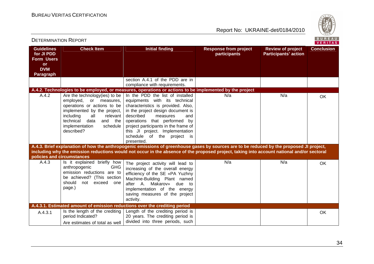

| BUREAU<br><b>DETERMINATION REPORT</b><br>VERITAS                                                    |                                                                                                                                                                                                                                      |                                                                                                                                                                                                                                                                                                                                     |                                              |                                                         |                   |  |
|-----------------------------------------------------------------------------------------------------|--------------------------------------------------------------------------------------------------------------------------------------------------------------------------------------------------------------------------------------|-------------------------------------------------------------------------------------------------------------------------------------------------------------------------------------------------------------------------------------------------------------------------------------------------------------------------------------|----------------------------------------------|---------------------------------------------------------|-------------------|--|
| <b>Guidelines</b><br>for JI PDD<br><b>Form Users</b><br><b>or</b><br><b>DVM</b><br><b>Paragraph</b> | <b>Check Item</b>                                                                                                                                                                                                                    | <b>Initial finding</b>                                                                                                                                                                                                                                                                                                              | <b>Response from project</b><br>participants | <b>Review of project</b><br><b>Participants' action</b> | <b>Conclusion</b> |  |
|                                                                                                     |                                                                                                                                                                                                                                      | section A.4.1 of the PDD are in<br>compliance with requirements.                                                                                                                                                                                                                                                                    |                                              |                                                         |                   |  |
|                                                                                                     |                                                                                                                                                                                                                                      | A.4.2. Technologies to be employed, or measures, operations or actions to be implemented by the project                                                                                                                                                                                                                             |                                              |                                                         |                   |  |
| A.4.2                                                                                               | Are the technology(ies) to be<br>employed,<br>or measures,<br>operations or actions to be<br>implemented by the project,<br>including<br>relevant<br>all<br>technical<br>data<br>and the<br>implementation<br>schedule<br>described? | In the PDD the list of installed<br>equipments with its technical<br>characteristics is provided. Also,<br>in the project design document is<br>described<br>measures<br>and<br>operations that performed by<br>project participants in the frame of<br>this JI project. Implementation<br>schedule of the project is<br>presented. | N/a                                          | N/a                                                     | <b>OK</b>         |  |
|                                                                                                     |                                                                                                                                                                                                                                      | A.4.3. Brief explanation of how the anthropogenic emissions of greenhouse gases by sources are to be reduced by the proposed JI project,                                                                                                                                                                                            |                                              |                                                         |                   |  |
| policies and circumstances                                                                          |                                                                                                                                                                                                                                      | including why the emission reductions would not occur in the absence of the proposed project, taking into account national and/or sectoral                                                                                                                                                                                          |                                              |                                                         |                   |  |
| A.4.3                                                                                               | Is it explained briefly how<br><b>GHG</b><br>anthropogenic<br>emission reductions are to<br>be achieved? (This section<br>should<br>not exceed one<br>page.)                                                                         | The project activity will lead to<br>increasing of the overall energy<br>efficiency of the SE «PA Yuzhny<br>Machine-Building Plant named<br>after A. Makarov»<br>due to<br>implementation of the energy<br>saving measures of the project<br>activity.                                                                              | N/a                                          | N/a                                                     | <b>OK</b>         |  |
|                                                                                                     |                                                                                                                                                                                                                                      | A.4.3.1. Estimated amount of emission reductions over the crediting period                                                                                                                                                                                                                                                          |                                              |                                                         |                   |  |
| A.4.3.1                                                                                             | Is the length of the crediting<br>period Indicated?<br>Are estimates of total as well                                                                                                                                                | Length of the crediting period is<br>20 years. The crediting period is<br>divided into three periods, such                                                                                                                                                                                                                          |                                              |                                                         | <b>OK</b>         |  |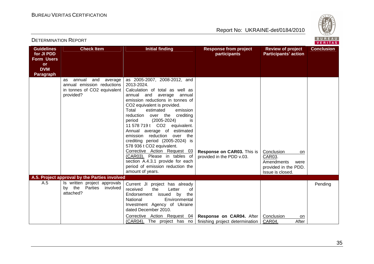DETERMINATION REPORT

Report No: UKRAINE-det/0184/2010



**VERITAS** 

#### **Guidelines for JI PDD Form Users or DVM Paragraph Check Item The Initial finding The Response from project participants Review of project Participants' actionConclusion** as annual and average annual emission reductions in tonnes of CO2 equivalent provided? as 2005-2007, 2008-2012, and 2013-2024. Calculation of total as well as annual and average annual emission reductions in tonnes of CO2 equivalent is provided. emission Total estimated reduction over the crediting is. period (2005-2024) 11 578 719 t CO2 equivalent. Annual average of estimated emission reduction over the crediting period (2005-2024) is 578 936 t CO2 equivalent. Corrective Action Request 03 (CAR03). Please in tables of section A.4.3.1 provide for each period of emission reduction the amount of years. **Response on CAR03.** This is provided in the PDD v.03. Conclusion on CAR03. Amendments were provided in the PDD. Issue is closed. **A.5. Project approval by the Parties involved** A.5 **Is written project approvals**  by the Parties involved attached? Current JI project has already received the Letter of Endorsement issued by the National Environmental Investment Agency of Ukraine dated December 2010. Corrective Action Request 04 (CAR04). The project has no **Response on CAR04.** After finishing project determination Conclusion on After CAR04. Pending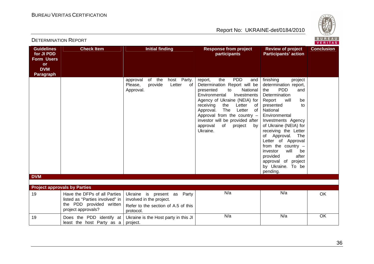

| <b>Guidelines</b><br>for JI PDD<br><b>Form Users</b><br><b>or</b><br><b>DVM</b><br><b>Paragraph</b> | <b>Check Item</b>                                                                                                 | <b>Initial finding</b><br>of the<br>host Party.                                                                | <b>Response from project</b><br>participants<br><b>PDD</b><br>the                                                                                                                                                                                                                                                                      | <b>Review of project</b><br><b>Participants' action</b><br>finishing                                                                                                                                                                                                                                                                                                                                  | <b>Conclusion</b> |
|-----------------------------------------------------------------------------------------------------|-------------------------------------------------------------------------------------------------------------------|----------------------------------------------------------------------------------------------------------------|----------------------------------------------------------------------------------------------------------------------------------------------------------------------------------------------------------------------------------------------------------------------------------------------------------------------------------------|-------------------------------------------------------------------------------------------------------------------------------------------------------------------------------------------------------------------------------------------------------------------------------------------------------------------------------------------------------------------------------------------------------|-------------------|
|                                                                                                     |                                                                                                                   | approval<br>Please,<br>provide<br>Letter<br>of<br>Approval.                                                    | report,<br>and<br>Determination Report will be<br>presented<br>National<br>to<br>Environmental<br>Investments<br>Agency of Ukraine (NEIA) for<br>Letter<br>receiving<br>the<br>of<br>The<br>Letter<br>of<br>Approval.<br>Approval from the country -<br>investor will be provided after<br>approval<br>of<br>project<br>by<br>Ukraine. | project<br>determination report,<br><b>PDD</b><br>the<br>and<br>Determination<br>Report<br>will<br>be<br>presented<br>to<br>National<br>Environmental<br>Investments Agency<br>of Ukraine (NEIA) for<br>receiving the Letter<br>of Approval. The<br>Letter of Approval<br>from the country $-$<br>will<br>investor<br>be<br>provided<br>after<br>approval of project<br>by Ukraine. To be<br>pending. |                   |
| <b>DVM</b><br><b>Project approvals by Parties</b>                                                   |                                                                                                                   |                                                                                                                |                                                                                                                                                                                                                                                                                                                                        |                                                                                                                                                                                                                                                                                                                                                                                                       |                   |
| 19                                                                                                  | Have the DFPs of all Parties<br>listed as "Parties involved" in<br>the PDD provided written<br>project approvals? | Ukraine is present as<br>Party<br>involved in the project.<br>Refer to the section of A.5 of this<br>protocol. | N/a                                                                                                                                                                                                                                                                                                                                    | N/a                                                                                                                                                                                                                                                                                                                                                                                                   | OK                |
| 19                                                                                                  | Does the PDD identify at<br>least the host Party as a                                                             | Ukraine is the Host party in this JI<br>project.                                                               | N/a                                                                                                                                                                                                                                                                                                                                    | N/a                                                                                                                                                                                                                                                                                                                                                                                                   | OK                |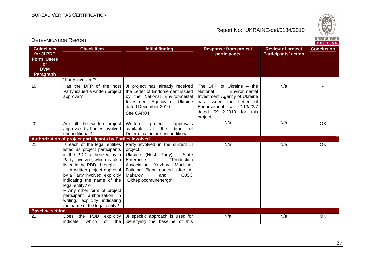

| <b>Guidelines</b><br>for JI PDD<br><b>Form Users</b><br><b>or</b> | <b>Check Item</b>                                                                                                                                                                                                                                                                                                                                                                                                    | <b>Initial finding</b>                                                                                                                                                                                                                     | <b>Response from project</b><br>participants                                                                                                                                                     | <b>Review of project</b><br><b>Participants' action</b> | <b>Conclusion</b> |
|-------------------------------------------------------------------|----------------------------------------------------------------------------------------------------------------------------------------------------------------------------------------------------------------------------------------------------------------------------------------------------------------------------------------------------------------------------------------------------------------------|--------------------------------------------------------------------------------------------------------------------------------------------------------------------------------------------------------------------------------------------|--------------------------------------------------------------------------------------------------------------------------------------------------------------------------------------------------|---------------------------------------------------------|-------------------|
| <b>DVM</b><br><b>Paragraph</b>                                    |                                                                                                                                                                                                                                                                                                                                                                                                                      |                                                                                                                                                                                                                                            |                                                                                                                                                                                                  |                                                         |                   |
|                                                                   | "Party involved"?                                                                                                                                                                                                                                                                                                                                                                                                    |                                                                                                                                                                                                                                            |                                                                                                                                                                                                  |                                                         |                   |
| 19                                                                | Has the DFP of the host<br>Party issued a written project<br>approval?                                                                                                                                                                                                                                                                                                                                               | JI project has already received<br>the Letter of Endorsement issued<br>by the National Environmental<br>Investment Agency of Ukraine<br>dated December 2010.<br>See CAR04.                                                                 | The DFP of Ukraine $-$ the<br>National<br>Environmental<br>Investment Agency of Ukraine<br>has issued the Letter of<br>Endorsement #<br>2113/23/7<br>09.12.2010<br>for this<br>dated<br>project. | N/a                                                     |                   |
| 20                                                                | Are all the written project<br>approvals by Parties involved<br>unconditional?                                                                                                                                                                                                                                                                                                                                       | Written<br>project<br>approvals<br>available<br>at the<br>time of<br>Determination are unconditional.                                                                                                                                      | N/a                                                                                                                                                                                              | N/a                                                     | OK                |
|                                                                   | Authorization of project participants by Parties involved                                                                                                                                                                                                                                                                                                                                                            |                                                                                                                                                                                                                                            |                                                                                                                                                                                                  |                                                         |                   |
| 21                                                                | Is each of the legal entities<br>listed as project participants<br>in the PDD authorized by a<br>Party involved, which is also<br>listed in the PDD, through:<br>- A written project approval<br>by a Party involved, explicitly<br>indicating the name of the<br>legal entity? or<br>- Any other form of project<br>participant authorization in<br>writing, explicitly indicating<br>the name of the legal entity? | Party involved in the current JI<br>project:<br>Ukraine (Host Party) - State<br>Enterprise<br>"Production<br>Association<br>Yuzhny<br>Machine-<br>Building Plant named after A.<br><b>OJSC</b><br>Makarov"<br>and<br>"Oblteplocomunenergo" | N/a                                                                                                                                                                                              | N/a                                                     | OK                |
| <b>Baseline setting</b>                                           |                                                                                                                                                                                                                                                                                                                                                                                                                      |                                                                                                                                                                                                                                            |                                                                                                                                                                                                  |                                                         |                   |
| 22                                                                | <b>PDD</b><br>the<br><b>Does</b><br>indicate<br>which<br>of                                                                                                                                                                                                                                                                                                                                                          | explicitly JI specific approach is used for<br>the didentifying the baseline of this                                                                                                                                                       | N/a                                                                                                                                                                                              | N/a                                                     | OK                |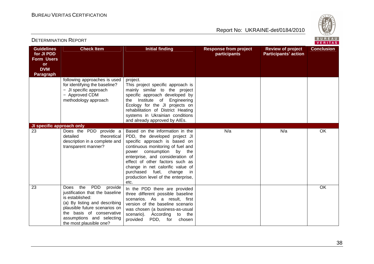

**VERITAS** 

#### **Guidelines for JI PDD Form Users or DVM Paragraph Check Item The Initial finding The Response from project participants Review of project Participants' actionConclusion** following approaches is used for identifying the baseline? − JI specific approach − Approved CDM methodology approach project. This project specific approach is mainly similar to the project specific approach developed by the Institute of Engineering Ecology for the JI projects on rehabilitation of District Heating systems in Ukrainian conditions and already approved by AIEs. **JI specific approach only** 23 **Does the PDD provide a** detailed theoretical description in a complete and transparent manner? Based on the information in the PDD, the developed project JI specific approach is based on continuous monitoring of fuel and power consumption by the enterprise, and consideration of effect of other factors such as change in net calorific value of purchased fuel, change in production level of the enterprise, etc. N/aa | N/a | OK 23 Does the PDD provide justification that the baseline is established: (a) By listing and describing plausible future scenarios on the basis of conservative assumptions and selecting the most plausible one? In the PDD there are provided three different possible baseline scenarios. As a result, first version of the baseline scenario was chosen (a business-as-usual scenario). According to the provided PDD, for chosen OK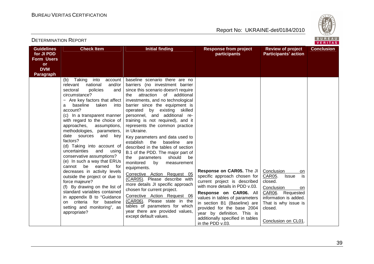

| <b>Guidelines</b><br>for JI PDD<br><b>Form Users</b><br><b>or</b><br><b>DVM</b><br><b>Paragraph</b> | <b>Check Item</b>                                                                                                                                                                                                                                                                                                                                                                                                                                                                                                                                                                                                                                                                                                                                                                             | <b>Initial finding</b>                                                                                                                                                                                                                                                                                                                                                                                                                                                                                                                                                                                                                                                                                                                                                                                                                                                                                                      | <b>Response from project</b><br>participants                                                                                                                                                                                                                                                                                                 | <b>Review of project</b><br><b>Participants' action</b>                                                                                                                                 | <b>Conclusion</b> |
|-----------------------------------------------------------------------------------------------------|-----------------------------------------------------------------------------------------------------------------------------------------------------------------------------------------------------------------------------------------------------------------------------------------------------------------------------------------------------------------------------------------------------------------------------------------------------------------------------------------------------------------------------------------------------------------------------------------------------------------------------------------------------------------------------------------------------------------------------------------------------------------------------------------------|-----------------------------------------------------------------------------------------------------------------------------------------------------------------------------------------------------------------------------------------------------------------------------------------------------------------------------------------------------------------------------------------------------------------------------------------------------------------------------------------------------------------------------------------------------------------------------------------------------------------------------------------------------------------------------------------------------------------------------------------------------------------------------------------------------------------------------------------------------------------------------------------------------------------------------|----------------------------------------------------------------------------------------------------------------------------------------------------------------------------------------------------------------------------------------------------------------------------------------------------------------------------------------------|-----------------------------------------------------------------------------------------------------------------------------------------------------------------------------------------|-------------------|
|                                                                                                     | Taking<br>into<br>account<br>(b)<br>relevant<br>national<br>and/or<br>sectoral<br>policies<br>and<br>circumstance?<br>- Are key factors that affect<br>baseline<br>taken<br>into<br>a<br>account?<br>(c) In a transparent manner<br>with regard to the choice of<br>approaches,<br>assumptions,<br>methodologies, parameters,<br>date sources<br>and<br>key<br>factors?<br>(d) Taking into account of<br>uncertainties<br>and<br>using<br>conservative assumptions?<br>(e) In such a way that ERUs<br>cannot be<br>earned<br>for<br>decreases in activity levels<br>outside the project or due to<br>force majeure?<br>(f) By drawing on the list of<br>standard variables contained<br>in appendix B to "Guidance<br>on criteria for baseline<br>setting and monitoring", as<br>appropriate? | baseline scenario there are no<br>barriers (no investment barrier<br>since this scenario doesn't require<br>of additional<br>attraction<br>the<br>investments, and no technological<br>barrier since the equipment is<br>operated by existing skilled<br>personnel, and additional re-<br>training is not required), and it<br>represents the common practice<br>in Ukraine.<br>Key parameters and data used to<br>establish<br>baseline<br>the<br>are<br>described in the tables of section<br>B.1 of the PDD. The major part of<br>should<br>be<br>the<br>parameters<br>monitored<br>by<br>measurement<br>equipments.<br>Corrective Action Request 05<br>(CAR05). Please describe with<br>more details JI specific approach<br>chosen for current project.<br>Corrective Action Request 06<br>(CAR06). Please state in the<br>tables of parameters for which<br>year there are provided values,<br>except default values. | Response on CAR05. The JI<br>specific approach chosen for<br>current project is described<br>with more details in PDD v.03.<br>Response on CAR06. All<br>values in tables of parameters<br>in section B1 (Baseline) are<br>provided for the base 2004<br>year by definition. This is<br>additionally specified in tables<br>in the PDD v.03. | Conclusion<br>on.<br>is<br>CAR05.<br><b>Issue</b><br>closed.<br>Conclusion<br>on<br>CAR06. Requested<br>information is added.<br>That is why issue is<br>closed.<br>Conclusion on CL01. |                   |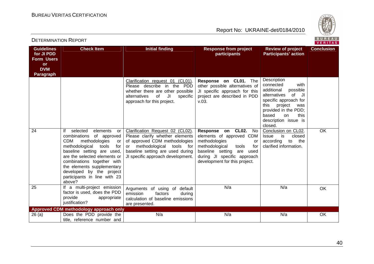DETERMINATION REPORT



| <b>Guidelines</b><br>for JI PDD<br><b>Form Users</b><br><b>or</b><br><b>DVM</b><br><b>Paragraph</b> | <b>Check Item</b>                                                                                                                                                                                                                                                                                                                      | <b>Initial finding</b>                                                                                                                                                                                             | <b>Response from project</b><br>participants                                                                                                                                                                    | <b>Review of project</b><br><b>Participants' action</b>                                                                                                                                                                  | <b>Conclusion</b> |
|-----------------------------------------------------------------------------------------------------|----------------------------------------------------------------------------------------------------------------------------------------------------------------------------------------------------------------------------------------------------------------------------------------------------------------------------------------|--------------------------------------------------------------------------------------------------------------------------------------------------------------------------------------------------------------------|-----------------------------------------------------------------------------------------------------------------------------------------------------------------------------------------------------------------|--------------------------------------------------------------------------------------------------------------------------------------------------------------------------------------------------------------------------|-------------------|
|                                                                                                     |                                                                                                                                                                                                                                                                                                                                        | Clarification request 01 (CL01).<br>Please describe in the PDD<br>whether there are other possible<br>of<br>JI<br>alternatives<br>specific<br>approach for this project.                                           | Response on CL01. The<br>other possible alternatives of<br>JI specific approach for this<br>project are described in PDD<br>v.03.                                                                               | Description<br>connected<br>with<br>additional<br>possible<br>of JI<br>alternatives<br>specific approach for<br>this<br>project<br>was<br>provided in the PDD;<br>based<br>this<br>on<br>description issue is<br>closed. |                   |
| 24                                                                                                  | selected<br>lf<br>elements<br>or<br>of approved<br>combinations<br><b>CDM</b><br>methodologies<br>or<br>methodological<br>for<br>tools<br>baseline setting are used,<br>are the selected elements or<br>combinations together with<br>the elements supplementary<br>developed by the project<br>participants in line with 23<br>above? | Clarification Request 02 (CL02).<br>Please clarify whether elements<br>of approved CDM methodologies<br>methodological<br>tools for<br>or<br>baseline setting are used during<br>JI specific approach development. | Response on CL02.<br>No<br>elements of approved CDM<br>methodologies<br>or<br>methodological<br>tools<br>for<br>baseline setting<br>are<br>used<br>during JI specific approach<br>development for this project. | Conclusion on CL02.<br>is<br>closed<br><b>Issue</b><br>according<br>to<br>the<br>clarified information.                                                                                                                  | <b>OK</b>         |
| 25                                                                                                  | If a multi-project emission<br>factor is used, does the PDD<br>provide<br>appropriate<br>justification?                                                                                                                                                                                                                                | Arguments of using of default<br>emission<br>factors<br>during<br>calculation of baseline emissions<br>are presented.                                                                                              | N/a                                                                                                                                                                                                             | N/a                                                                                                                                                                                                                      | OK                |
| 26(a)                                                                                               | Approved CDM methodology approach only<br>Does the PDD provide the                                                                                                                                                                                                                                                                     | N/a                                                                                                                                                                                                                | N/a                                                                                                                                                                                                             | N/a                                                                                                                                                                                                                      | OK                |
|                                                                                                     | title, reference number and                                                                                                                                                                                                                                                                                                            |                                                                                                                                                                                                                    |                                                                                                                                                                                                                 |                                                                                                                                                                                                                          |                   |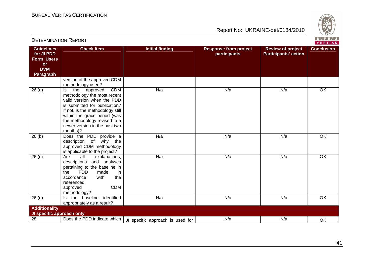

| BUREAU<br><b>DETERMINATION REPORT</b><br>VERITAS                                             |                                                                                                                                                                                                                                                                                     |                                  |                                              |                                                         |                   |  |
|----------------------------------------------------------------------------------------------|-------------------------------------------------------------------------------------------------------------------------------------------------------------------------------------------------------------------------------------------------------------------------------------|----------------------------------|----------------------------------------------|---------------------------------------------------------|-------------------|--|
| <b>Guidelines</b><br>for JI PDD<br>Form Users<br><b>or</b><br><b>DVM</b><br><b>Paragraph</b> | <b>Check Item</b>                                                                                                                                                                                                                                                                   | <b>Initial finding</b>           | <b>Response from project</b><br>participants | <b>Review of project</b><br><b>Participants' action</b> | <b>Conclusion</b> |  |
|                                                                                              | version of the approved CDM<br>methodology used?                                                                                                                                                                                                                                    |                                  |                                              |                                                         |                   |  |
| 26(a)                                                                                        | <b>CDM</b><br>the<br>approved<br>ls.<br>methodology the most recent<br>valid version when the PDD<br>is submitted for publication?<br>If not, is the methodology still<br>within the grace period (was<br>the methodology revised to a<br>newer version in the past two<br>months)? | N/a                              | N/a                                          | N/a                                                     | OK                |  |
| 26(b)                                                                                        | Does the PDD provide a<br>description of<br>why the<br>approved CDM methodology<br>is applicable to the project?                                                                                                                                                                    | N/a                              | N/a                                          | N/a                                                     | OK                |  |
| $\overline{26}$ (c)                                                                          | all<br>explanations,<br>Are<br>descriptions and analyses<br>pertaining to the baseline in<br><b>PDD</b><br>the<br>made<br>in<br>with<br>the<br>accordance<br>referenced<br><b>CDM</b><br>approved<br>methodology?                                                                   | N/a                              | N/a                                          | N/a                                                     | OK                |  |
| $\overline{26}$ (d)                                                                          | Is the baseline identified<br>appropriately as a result?                                                                                                                                                                                                                            | N/a                              | N/a                                          | N/a                                                     | OK                |  |
| <b>Additionality</b><br>JI specific approach only                                            |                                                                                                                                                                                                                                                                                     |                                  |                                              |                                                         |                   |  |
| 28                                                                                           | Does the PDD indicate which                                                                                                                                                                                                                                                         | JI specific approach is used for | N/a                                          | N/a                                                     | OK                |  |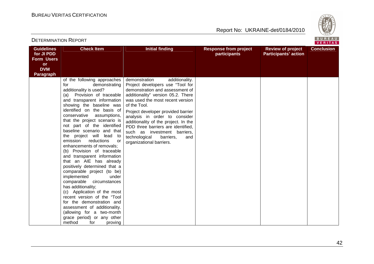

| <b>Guidelines</b><br>for JI PDD<br><b>Form Users</b> | <b>Check Item</b>                                                                                                                                                                                                                                                                                                                                                                                                                                                                                                                                                                                                                                                                                                                                                                                                                                      | <b>Initial finding</b>                                                                                                                                                                                                                                                                                                                                                                                                                                 | <b>Response from project</b><br>participants | <b>Review of project</b><br><b>Participants' action</b> | <b>Conclusion</b> |
|------------------------------------------------------|--------------------------------------------------------------------------------------------------------------------------------------------------------------------------------------------------------------------------------------------------------------------------------------------------------------------------------------------------------------------------------------------------------------------------------------------------------------------------------------------------------------------------------------------------------------------------------------------------------------------------------------------------------------------------------------------------------------------------------------------------------------------------------------------------------------------------------------------------------|--------------------------------------------------------------------------------------------------------------------------------------------------------------------------------------------------------------------------------------------------------------------------------------------------------------------------------------------------------------------------------------------------------------------------------------------------------|----------------------------------------------|---------------------------------------------------------|-------------------|
| <b>or</b><br><b>DVM</b>                              |                                                                                                                                                                                                                                                                                                                                                                                                                                                                                                                                                                                                                                                                                                                                                                                                                                                        |                                                                                                                                                                                                                                                                                                                                                                                                                                                        |                                              |                                                         |                   |
| <b>Paragraph</b>                                     |                                                                                                                                                                                                                                                                                                                                                                                                                                                                                                                                                                                                                                                                                                                                                                                                                                                        |                                                                                                                                                                                                                                                                                                                                                                                                                                                        |                                              |                                                         |                   |
|                                                      | of the following approaches<br>for<br>demonstrating<br>additionality is used?<br>Provision of traceable<br>(a)<br>and transparent information<br>showing the baseline was<br>identified on the basis of<br>conservative<br>assumptions,<br>that the project scenario is<br>not part of the identified<br>baseline scenario and that<br>the project will lead<br>to<br>emission<br>reductions<br>or<br>enhancements of removals;<br>(b) Provision of traceable<br>and transparent information<br>that an AIE has already<br>positively determined that a<br>comparable project (to be)<br>implemented<br>under<br>comparable circumstances<br>has additionality;<br>(c) Application of the most<br>recent version of the "Tool"<br>for the demonstration and<br>assessment of additionality.<br>(allowing for a two-month<br>grace period) or any other | demonstration<br>additionality.<br>Project developers use "Tool for<br>demonstration and assessment of<br>additionality" version 05.2. There<br>was used the most recent version<br>of the Tool.<br>Project developer provided barrier<br>analysis in order to consider<br>additionality of the project. In the<br>PDD three barriers are identified,<br>such as investment barriers,<br>technological<br>barriers,<br>and<br>organizational barriers. |                                              |                                                         |                   |
|                                                      | method<br>for<br>proving                                                                                                                                                                                                                                                                                                                                                                                                                                                                                                                                                                                                                                                                                                                                                                                                                               |                                                                                                                                                                                                                                                                                                                                                                                                                                                        |                                              |                                                         |                   |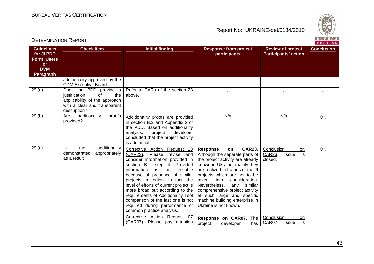

| <b>Guidelines</b><br>for JI PDD<br><b>Form Users</b><br><b>or</b><br><b>DVM</b><br><b>Paragraph</b> | <b>Check Item</b>                                                                                                                     | <b>Initial finding</b>                                                                                                                                                                                                                                                                                                                                                                                                                                                                                                                     | <b>Response from project</b><br>participants                                                                                                                                                                                                                                                                                                                                                                                                                                | <b>Review of project</b><br><b>Participants' action</b>                                                                 | <b>Conclusion</b> |
|-----------------------------------------------------------------------------------------------------|---------------------------------------------------------------------------------------------------------------------------------------|--------------------------------------------------------------------------------------------------------------------------------------------------------------------------------------------------------------------------------------------------------------------------------------------------------------------------------------------------------------------------------------------------------------------------------------------------------------------------------------------------------------------------------------------|-----------------------------------------------------------------------------------------------------------------------------------------------------------------------------------------------------------------------------------------------------------------------------------------------------------------------------------------------------------------------------------------------------------------------------------------------------------------------------|-------------------------------------------------------------------------------------------------------------------------|-------------------|
|                                                                                                     | additionality approved by the<br>CDM Executive Board".                                                                                |                                                                                                                                                                                                                                                                                                                                                                                                                                                                                                                                            |                                                                                                                                                                                                                                                                                                                                                                                                                                                                             |                                                                                                                         |                   |
| 29(a)                                                                                               | Does the PDD provide a<br>justification<br>0f<br>the<br>applicability of the approach<br>with a clear and transparent<br>description? | Refer to CARs of the section 23<br>above.                                                                                                                                                                                                                                                                                                                                                                                                                                                                                                  |                                                                                                                                                                                                                                                                                                                                                                                                                                                                             |                                                                                                                         |                   |
| 29(b)                                                                                               | additionality<br>Are<br>proofs<br>provided?                                                                                           | Additionality proofs are provided<br>in section B.2 and Appendix 2 of<br>the PDD. Based on additionality<br>analysis,<br>project<br>developer<br>concluded that the project activity<br>is additional.                                                                                                                                                                                                                                                                                                                                     | N/a                                                                                                                                                                                                                                                                                                                                                                                                                                                                         | N/a                                                                                                                     | OK                |
| 29 <sub>(c)</sub>                                                                                   | ls<br>the<br>additionality<br>demonstrated<br>appropriately<br>as a result?                                                           | Corrective Action Request 23<br>(CAR23).<br>Please<br>revise and<br>consider information provided in<br>section B.2 step 4. Provided<br>information<br>is<br>not<br>reliable<br>because of presence of similar<br>projects in region. In fact, the<br>level of efforts of current project is<br>more broad but according to the<br>requirements of Additionality Tool<br>comparison of the last one is not<br>required during performance of<br>common practice analysis.<br>Corrective Action Request 07<br>(CAR07). Please pay attention | <b>CAR23.</b><br><b>Response</b><br>on<br>Although the separate parts of<br>the project activity are already<br>known in Ukraine, mainly they<br>are realized in frames of the JI<br>projects which are not to be<br>taken<br>into<br>consideration.<br>Nevertheless,<br>similar<br>any<br>comprehensive project activity<br>at such large and specific<br>machine building enterprise in<br>Ukraine is not known.<br>Response on CAR07. The<br>project<br>has<br>developer | Conclusion<br>on.<br>CAR23.<br>is<br><b>Issue</b><br>closed.<br>Conclusion<br>on<br>is<br><b>CAR07.</b><br><b>Issue</b> | <b>OK</b>         |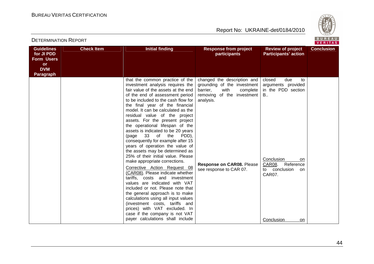

**VERITAS** 

#### **Guidelines for JI PDD Form Users or DVM Paragraph Check Item The Initial finding The Response from project participants Review of project Participants' actionConclusion** that the common practice of the investment analysis requires the fair value of the assets at the end of the end of assessment period to be included to the cash flow for the final year of the financial model. It can be calculated as the residual value of the project assets. For the present project the operational lifespan of the assets is indicated to be 20 years (page 33 of the PDD), consequently for example after 15 years of operation the value of the assets may be determined as 25% of their initial value. Please make appropriate corrections. Corrective Action Request 08 (CAR08). Please indicate whether tariffs, costs and investment values are indicated with VAT included or not. Please note that the general approach is to make calculations using all input values (investment costs, tariffs and prices) with VAT excluded. In case if the company is not VAT payer calculations shall include changed the description and grounding of the investment barrier, with complete removing of the investment analysis. **Response on CAR08.** Please see response to CAR 07. closed due to arguments provided in the PDD section B.. Conclusion on CAR08. Reference on to conclusion CAR07. Conclusion on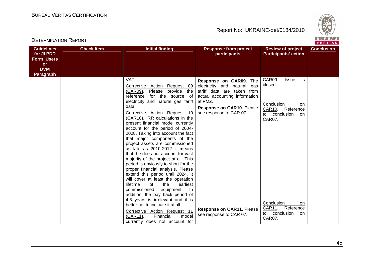

| <b>Guidelines</b><br>for JI PDD<br><b>Form Users</b> | <b>Check Item</b> | <b>Initial finding</b>                                                                                                                                                                                                                                                                                                                                                                                                                                                                                                                                                                                                                                                                                                                                       | <b>Response from project</b><br>participants                                                                                                                                               | <b>Review of project</b><br><b>Participants' action</b>                                                             | <b>Conclusion</b> |
|------------------------------------------------------|-------------------|--------------------------------------------------------------------------------------------------------------------------------------------------------------------------------------------------------------------------------------------------------------------------------------------------------------------------------------------------------------------------------------------------------------------------------------------------------------------------------------------------------------------------------------------------------------------------------------------------------------------------------------------------------------------------------------------------------------------------------------------------------------|--------------------------------------------------------------------------------------------------------------------------------------------------------------------------------------------|---------------------------------------------------------------------------------------------------------------------|-------------------|
| or<br><b>DVM</b>                                     |                   |                                                                                                                                                                                                                                                                                                                                                                                                                                                                                                                                                                                                                                                                                                                                                              |                                                                                                                                                                                            |                                                                                                                     |                   |
| <b>Paragraph</b>                                     |                   | VAT.<br>Corrective Action Request 09<br>(CAR09).<br>Please provide the<br>for the source of<br>reference<br>electricity and natural gas tariff<br>data.<br>Corrective Action Request 10<br>(CAR10). IRR calculations in the<br>present financial model currently<br>account for the period of 2004-<br>2008. Taking into account the fact<br>that major components of the<br>project assets are commissioned<br>as late as 2010-2012 it means<br>that the does not account for vast<br>majority of the project at all. This<br>period is obviously to short for the<br>proper financial analysis. Please<br>extend this period until 2024. It<br>will cover at least the operation<br>lifetime<br>of<br>the<br>earliest<br>commissioned<br>equipment.<br>-In | Response on CAR09. The<br>electricity and natural<br>gas<br>tariff data are taken from<br>actual accounting information<br>at PMZ.<br>Response on CAR10. Please<br>see response to CAR 07. | CAR09.<br><b>Issue</b><br>is<br>closed.<br>Conclusion<br>on<br>Reference<br>CAR10.<br>to conclusion<br>on<br>CAR07. |                   |
|                                                      |                   | addition, the pay back period of<br>4,8 years is irrelevant and it is<br>better not to indicate it at all.<br>Corrective Action Request 11<br>model<br>(CAR11).<br>Financial<br>currently does not account for                                                                                                                                                                                                                                                                                                                                                                                                                                                                                                                                               | Response on CAR11. Please<br>see response to CAR 07.                                                                                                                                       | Conclusion<br>on.<br>CAR11.<br>Reference<br>conclusion<br>to<br>on<br>CAR07.                                        |                   |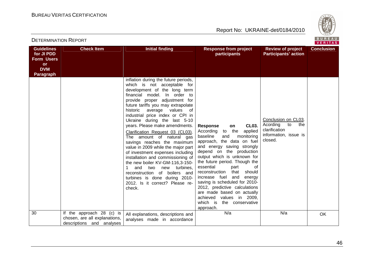

| <b>Guidelines</b><br>for JI PDD<br><b>Form Users</b><br><b>or</b><br><b>DVM</b> | <b>Check Item</b>                                                                       | <b>Initial finding</b>                                                                                                                                                                                                                                                                                                                                                                                                                                                                                                                                                                                                             | <b>Response from project</b><br>participants                                                                                                                                                                                                                                                   | <b>Review of project</b><br><b>Participants' action</b>                                           | <b>Conclusion</b> |
|---------------------------------------------------------------------------------|-----------------------------------------------------------------------------------------|------------------------------------------------------------------------------------------------------------------------------------------------------------------------------------------------------------------------------------------------------------------------------------------------------------------------------------------------------------------------------------------------------------------------------------------------------------------------------------------------------------------------------------------------------------------------------------------------------------------------------------|------------------------------------------------------------------------------------------------------------------------------------------------------------------------------------------------------------------------------------------------------------------------------------------------|---------------------------------------------------------------------------------------------------|-------------------|
| <b>Paragraph</b>                                                                |                                                                                         | inflation during the future periods,<br>which is not acceptable for<br>development of the long term<br>financial model. In order to<br>provide proper adjustment for<br>future tariffs you may extrapolate<br>historic<br>average<br>values of<br>industrial price index or CPI in<br>Ukraine during the last 5-10<br>years. Please make amendments.<br>Clarification Request 03 (CL03).<br>The amount of natural gas<br>savings reaches the maximum<br>value in 2009 while the major part<br>of investment expenses including<br>installation and commissioning of<br>the new boiler KV-GM-116,3-150-<br>and<br>two new turbines, | <b>CL03.</b><br><b>Response</b><br>on<br>the<br>applied<br>According<br>to<br>baseline<br>and<br>monitoring<br>approach, the data on fuel<br>and energy saving strongly<br>depend on the production<br>output which is unknown for<br>the future period. Though the<br>essential<br>part<br>of | Conclusion on CL03.<br>Acording<br>to<br>the<br>clarification<br>information, issue is<br>closed. |                   |
|                                                                                 |                                                                                         | reconstruction of boilers and<br>turbines is done during 2010-<br>2012. Is it correct? Please re-<br>check.                                                                                                                                                                                                                                                                                                                                                                                                                                                                                                                        | reconstruction<br>that<br>should<br>increase fuel<br>and<br>energy<br>saving is scheduled for 2010-<br>2012, predictive calculations<br>are made based on actually<br>achieved<br>values in 2009,<br>which is<br>the conservative<br>approach.                                                 |                                                                                                   |                   |
| 30                                                                              | If the approach 28 (c) is<br>chosen, are all explanations,<br>descriptions and analyses | All explanations, descriptions and<br>analyses made in accordance                                                                                                                                                                                                                                                                                                                                                                                                                                                                                                                                                                  | N/a                                                                                                                                                                                                                                                                                            | N/a                                                                                               | OK                |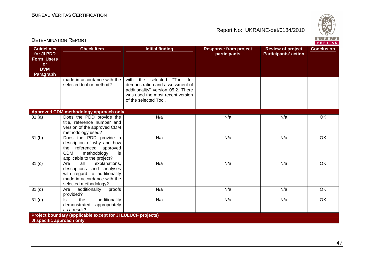

|                                                                                                     |                                                                                                                                                     |                                                                                                                                                                               |                                              |                                                         | .                 |
|-----------------------------------------------------------------------------------------------------|-----------------------------------------------------------------------------------------------------------------------------------------------------|-------------------------------------------------------------------------------------------------------------------------------------------------------------------------------|----------------------------------------------|---------------------------------------------------------|-------------------|
| <b>Guidelines</b><br>for JI PDD<br><b>Form Users</b><br><b>or</b><br><b>DVM</b><br><b>Paragraph</b> | <b>Check Item</b>                                                                                                                                   | <b>Initial finding</b>                                                                                                                                                        | <b>Response from project</b><br>participants | <b>Review of project</b><br><b>Participants' action</b> | <b>Conclusion</b> |
|                                                                                                     | made in accordance with the<br>selected tool or method?                                                                                             | "Tool<br>the<br>selected<br>for<br>with<br>demonstration and assessment of<br>additionality" version 05.2. There<br>was used the most recent version<br>of the selected Tool. |                                              |                                                         |                   |
|                                                                                                     | Approved CDM methodology approach only                                                                                                              |                                                                                                                                                                               |                                              |                                                         |                   |
| 31(a)                                                                                               | Does the PDD provide the<br>title, reference number and<br>version of the approved CDM<br>methodology used?                                         | N/a                                                                                                                                                                           | N/a                                          | N/a                                                     | OK                |
| 31(b)                                                                                               | Does the PDD provide a<br>description of why and how<br>referenced approved<br>the<br><b>CDM</b><br>methodology<br>is<br>applicable to the project? | N/a                                                                                                                                                                           | N/a                                          | N/a                                                     | OK                |
| $\overline{31}$ (c)                                                                                 | Are<br>all<br>explanations,<br>descriptions and analyses<br>with regard to additionality<br>made in accordance with the<br>selected methodology?    | N/a                                                                                                                                                                           | N/a                                          | N/a                                                     | OK                |
| $\overline{31}$ (d)                                                                                 | Are<br>additionality<br>proofs<br>provided?                                                                                                         | N/a                                                                                                                                                                           | N/a                                          | N/a                                                     | OK                |
| $\overline{3}1$ (e)                                                                                 | additionality<br>the<br>ls.<br>demonstrated<br>appropriately<br>as a result?                                                                        | N/a                                                                                                                                                                           | N/a                                          | N/a                                                     | $\overline{OK}$   |
|                                                                                                     | Project boundary (applicable except for JI LULUCF projects)                                                                                         |                                                                                                                                                                               |                                              |                                                         |                   |
| JI specific approach only                                                                           |                                                                                                                                                     |                                                                                                                                                                               |                                              |                                                         |                   |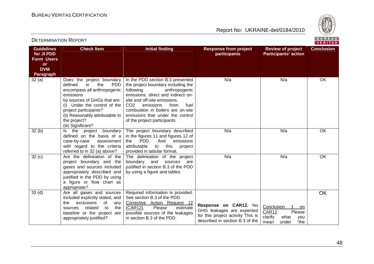

| <b>Guidelines</b><br>for JI PDD<br>Form Users<br><b>or</b><br><b>DVM</b><br><b>Paragraph</b> | <b>Check Item</b>                                                                                                                                                                                                                                                              | <b>Initial finding</b>                                                                                                                                                                                                                                                                                                              | <b>Response from project</b><br>participants                                                                               | <b>Review of project</b><br><b>Participants' action</b>                                 | <b>Conclusion</b> |
|----------------------------------------------------------------------------------------------|--------------------------------------------------------------------------------------------------------------------------------------------------------------------------------------------------------------------------------------------------------------------------------|-------------------------------------------------------------------------------------------------------------------------------------------------------------------------------------------------------------------------------------------------------------------------------------------------------------------------------------|----------------------------------------------------------------------------------------------------------------------------|-----------------------------------------------------------------------------------------|-------------------|
| 32(a)                                                                                        | Does the project boundary<br>defined<br>the<br><b>PDD</b><br>in.<br>encompass all anthropogenic<br>emissions<br>by sources of GHGs that are:<br>(i) Under the control of the<br>project participants?<br>(ii) Reasonably attributable to<br>the project?<br>(iii) Significant? | In the PDD section B.3 presented<br>the project boundary including the<br>following<br>anthropogenic<br>emissions: direct and indirect on-<br>site and off-site emissions.<br>CO <sub>2</sub><br>emissions<br>from<br>fuel<br>combustion in boilers are on-site<br>emissions that under the control<br>of the project participants. | N/a                                                                                                                        | N/a                                                                                     | OK                |
| 32(b)                                                                                        | the<br>boundary<br>project<br>Is<br>defined on the basis of a<br>case-by-case<br>assessment<br>with regard to the criteria<br>referred to in 32 (a) above?                                                                                                                     | The project boundary described<br>in the figures 11 and figures 12 of<br>PDD.<br>And<br>emissions<br>the<br>attributable<br>this<br>to<br>project<br>provided in tabular format.                                                                                                                                                    | N/a                                                                                                                        | N/a                                                                                     | OK                |
| 32(c)                                                                                        | Are the delineation of the<br>project boundary and the<br>gases and sources included<br>appropriately described and<br>justified in the PDD by using<br>a figure or flow chart as<br>appropriate?                                                                              | The delineation of the project<br>and<br>boundary<br>sources<br>are<br>justified in section B.3 of the PDD<br>by using a figure and tables.                                                                                                                                                                                         | N/a                                                                                                                        | N/a                                                                                     | OK                |
| 32 <sub>(d)</sub>                                                                            | Are all gases and sources<br>included explicitly stated, and<br>exclusions<br>οf<br>the<br>any<br>related<br>to<br>the<br>sources<br>baseline or the project are<br>appropriately justified?                                                                                   | Required information is provided.<br>See section B.3 of the PDD.<br>Corrective Action Request 12<br>(CAR12).<br>Please<br>estimate<br>possible sources of the leakages<br>in section B.3 of the PDD.                                                                                                                                | Response on CAR12. No<br>GHG leakages are expected<br>for this project activity This is<br>described in section B.3 of the | Conclusion<br>on<br>CAR12.<br>Please<br>clarify<br>what<br>you<br>"the<br>under<br>mean | <b>OK</b>         |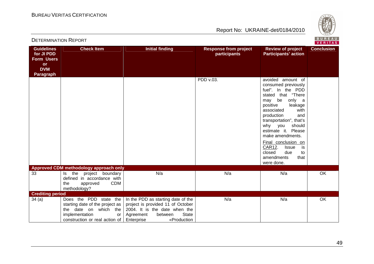**Check Item** 



### Report No: UKRAINE-det/0184/2010

a | N/a | OK

| for JI PDD<br>Form Users<br><b>or</b><br><b>DVM</b><br>Paragraph |                                                           |     | <b>participants</b> | <b>Participants' action</b>                                                                                                                                                                                                                                                                                                                                                                     |    |
|------------------------------------------------------------------|-----------------------------------------------------------|-----|---------------------|-------------------------------------------------------------------------------------------------------------------------------------------------------------------------------------------------------------------------------------------------------------------------------------------------------------------------------------------------------------------------------------------------|----|
|                                                                  |                                                           |     | PDD v.03.           | avoided<br>amount of<br>consumed previously<br>fuel". In the PDD<br>that "There<br>stated<br>be<br>only a<br>may<br>positive<br>leakage<br>associated<br>with<br>production<br>and<br>transportation", that's<br>why you<br>should<br>estimate it. Please<br>make amendments.<br>Final conclusion on<br>CAR12.<br><b>Issue</b><br>is<br>closed<br>due<br>to<br>amendments<br>that<br>were done. |    |
|                                                                  | <b>Approved CDM methodology approach only</b>             |     |                     |                                                                                                                                                                                                                                                                                                                                                                                                 |    |
| 33                                                               | the project boundary<br>ls.<br>defined in accordance with | N/a | N/a                 | N/a                                                                                                                                                                                                                                                                                                                                                                                             | OK |

In the PDD as starting date of the project is provided 11 of October 2004. It is the date when the

Enterprise «Production

Agreement between<br>Enterprise «Pr

State

**CDM** 

or

the approved methodology?

 starting date of the project as the date on which the

construction or real action of

34 (a) Does the PDD state the

implementation

DETERMINATION REPORT

**Guidelines** 

**Crediting period** 

|                        |                                              |                                                                                                                                                                                                                                                                      | <b>VERITAS</b>    |
|------------------------|----------------------------------------------|----------------------------------------------------------------------------------------------------------------------------------------------------------------------------------------------------------------------------------------------------------------------|-------------------|
| <b>Initial finding</b> | <b>Response from project</b><br>participants | <b>Review of project</b><br><b>Participants' action</b>                                                                                                                                                                                                              | <b>Conclusion</b> |
|                        | PDD v.03.                                    | avoided amount of<br>consumed previously<br>fuel". In the PDD<br>stated that "There<br>be<br>only a<br>may<br>positive leakage<br>with<br>associated<br>production<br>and<br>transportation", that's<br>should<br>why you<br>estimate it. Please<br>make amendments. |                   |

N/a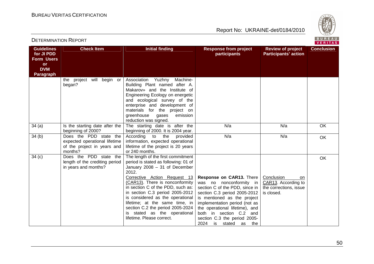

**VERITAS** 

#### **Guidelines for JI PDD Form Users or DVM Paragraph Check Item The Initial finding The Response from project participants Review of project Participants' actionConclusion** the project will begin or began? Association Yuzhny Machine-Building Plant named after A. Makarov» and the Institute of Engineering Ecology on energetic and ecological survey of the enterprise and development of materials for the project on emission greenhouse gases reduction was signed. The starting date is after the 34 (a) Is the starting date after the beginning of 2000? 34 (b) Does the PDD state the beginning of 2000. It is 2004 year. provided N/aa | N/a | OK expected operational lifetime of the project in years and months? 34 (c) Does the PDD state the According to the information, expected operational lifetime of the project is 20 years or 240 months. The length of the first commitment N/aa N/a Nok length of the crediting period in years and months? period is stated as following: 01 of January 2008 – 31 of December 2012. Corrective Action Request 13 (CAR13). There is nonconformity in section C of the PDD, such as: in section C.3 period 2005-2012 is considered as the operational lifetime; at the same time, in section C.2 the period 2005-2024 is stated as the operational lifetime. Please correct. **Response on CAR13.** There was no nonconformity in section C of the PDD, since in section C.3 period 2005-2012 is mentioned as the project implementation period (not as the operational lifetime), and both in section C.2 and section C.3 the period 2005- 2024 is stated as the Conclusion on CAR13. According to the corrections, issue is closed. OK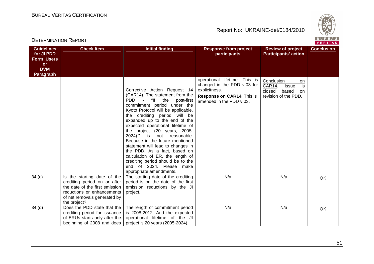

| <b>Guidelines</b><br>for JI PDD<br><b>Form Users</b><br><b>or</b><br><b>DVM</b><br><b>Paragraph</b> | <b>Check Item</b>                                                                                                                                                           | <b>Initial finding</b>                                                                                                                                                                                                                                                                                                                                                                                                                                                                                                                                                            | <b>Response from project</b><br>participants                                                                                            | <b>Review of project</b><br><b>Participants' action</b>                                            | <b>Conclusion</b> |
|-----------------------------------------------------------------------------------------------------|-----------------------------------------------------------------------------------------------------------------------------------------------------------------------------|-----------------------------------------------------------------------------------------------------------------------------------------------------------------------------------------------------------------------------------------------------------------------------------------------------------------------------------------------------------------------------------------------------------------------------------------------------------------------------------------------------------------------------------------------------------------------------------|-----------------------------------------------------------------------------------------------------------------------------------------|----------------------------------------------------------------------------------------------------|-------------------|
|                                                                                                     |                                                                                                                                                                             | Corrective Action Request 14<br>(CAR14). The statement from the<br>PDD -<br>"If the<br>post-first<br>commitment period under the<br>Kyoto Protocol will be applicable,<br>the crediting period will be<br>expanded up to the end of the<br>expected operational lifetime of<br>the project (20 years, 2005-<br>2024)." is not reasonable.<br>Because in the future mentioned<br>statement will lead to changes in<br>the PDD. As a fact, based on<br>calculation of ER, the length of<br>crediting period should be to the<br>end of 2024. Please make<br>appropriate amendments. | operational lifetime. This is<br>changed in the PDD v.03 for<br>explicitness.<br>Response on CAR14. This is<br>amended in the PDD v.03. | Conclusion<br>on<br>is<br>CAR14.<br><b>Issue</b><br>closed<br>based<br>on.<br>revision of the PDD. |                   |
| 34(c)                                                                                               | Is the starting date of the<br>crediting period on or after<br>the date of the first emission<br>reductions or enhancements<br>of net removals generated by<br>the project? | The starting date of the crediting<br>period is on the date of the first<br>emission reductions by the JI<br>project.                                                                                                                                                                                                                                                                                                                                                                                                                                                             | N/a                                                                                                                                     | N/a                                                                                                | <b>OK</b>         |
| 34 <sub>(d)</sub>                                                                                   | Does the PDD state that the<br>crediting period for issuance<br>of ERUs starts only after the<br>beginning of 2008 and does                                                 | The length of commitment period<br>is 2008-2012. And the expected<br>operational lifetime of the JI<br>project is 20 years (2005-2024).                                                                                                                                                                                                                                                                                                                                                                                                                                           | N/a                                                                                                                                     | N/a                                                                                                | <b>OK</b>         |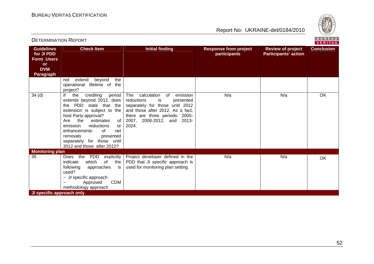DETERMINATION REPORT

Report No: UKRAINE-det/0184/2010



#### **VERITAS Guidelines Check Item The Initial finding Response from project Review of project Conclusion for JI PDD participants Participants' action Form Users or DVM Paragraph** not extend beyond the operational lifetime of the project? 34 (d) If the crediting period The calculation of emission N/aa N/a No <mark>NV</mark>a extends beyond 2012, does reductions is presented the PDD state that the separately for those until 2012 extension is subject to the and those after 2012. As a fact, host Party approval? there are three periods: 2005- Are the estimates of 2007, 2008-2012, and 2013emission reductions 2024. or enhancements of net removals presented separately for those until 2012 and those after 2012? **Monitoring plan**<br>35 35 Does the PDD explicitly Project developer defined in the N/aa | N/a | OK indicate which of the PDD that JI specific approach is used for monitoring plan setting. following approaches is used? − JI specific approach − Approved CDM methodology approach **JI specific approach only**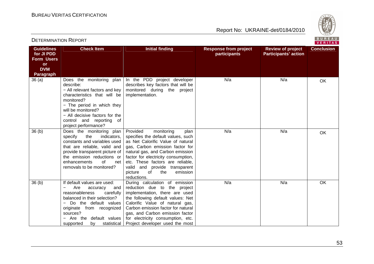DETERMINATION REPORT

Report No: UKRAINE-det/0184/2010



VERITAS

#### **Guidelines for JI PDD Form Users or DVM Paragraph Check Item The Initial finding The Response from project participants Review of project Participants' actionConclusion** 36 (a) Does the monitoring plan describe: − All relevant factors and key characteristics that will be monitored? − The period in which they will be monitored? − All decisive factors for the control and reporting of project performance? 36 (b) Does the monitoring plan In the PDD project developer describes key factors that will be monitored during the project implementation. N/aa N/a Nok specify the indicators, constants and variables used that are reliable, valid and provide transparent picture of the emission reductions or net enhancements of removals to be monitored? Provided monitoring plan specifies the default values, such as Net Calorific Value of natural gas, Carbon emission factor for natural gas, and Carbon emission factor for electricity consumption, etc. These factors are reliable, valid and provide transparent emission picture of the reductions. During calculation of emission N/aa | N/a | OK 36 (b) If default values are used: and − Are accuracy carefully reasonableness balanced in their selection? − Do the default values originate from recognized sources? − Are the default values statistical supported by reduction due to the project implementation, there are used the following default values: Net Calorific Value of natural gas, Carbon emission factor for natural gas, and Carbon emission factor for electricity consumption, etc. Project developer used the most N/aa | N/a | OK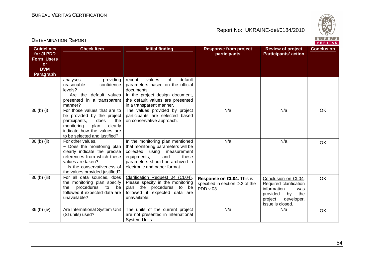

| <b>Guidelines</b><br>for JI PDD<br><b>Form Users</b><br><b>or</b><br><b>DVM</b> | <b>Check Item</b>                                                                                                                                                                                     | <b>Initial finding</b>                                                                                                                                                                                     | <b>Response from project</b><br>participants                              | <b>Review of project</b><br><b>Participants' action</b>                                                                                   | <b>Conclusion</b> |
|---------------------------------------------------------------------------------|-------------------------------------------------------------------------------------------------------------------------------------------------------------------------------------------------------|------------------------------------------------------------------------------------------------------------------------------------------------------------------------------------------------------------|---------------------------------------------------------------------------|-------------------------------------------------------------------------------------------------------------------------------------------|-------------------|
| Paragraph                                                                       |                                                                                                                                                                                                       |                                                                                                                                                                                                            |                                                                           |                                                                                                                                           |                   |
|                                                                                 | analyses<br>providing<br>confidence<br>reasonable<br>levels?<br>- Are the default values<br>presented in a transparent<br>manner?                                                                     | values<br>of<br>default<br>recent<br>parameters based on the official<br>documents.<br>In the project design document,<br>the default values are presented<br>in a transparent manner.                     |                                                                           |                                                                                                                                           |                   |
| 36 (b) (i)                                                                      | For those values that are to<br>be provided by the project<br>participants,<br>does<br>the<br>monitoring<br>plan<br>clearly<br>indicate how the values are<br>to be selected and justified?           | The values provided by project<br>participants are selected based<br>on conservative approach.                                                                                                             | N/a                                                                       | N/a                                                                                                                                       | OK                |
| 36 (b) (ii)                                                                     | For other values,<br>- Does the monitoring plan<br>clearly indicate the precise<br>references from which these<br>values are taken?<br>- Is the conservativeness of<br>the values provided justified? | In the monitoring plan mentioned<br>that monitoring parameters will be<br>collected using<br>measurement<br>equipments,<br>and<br>these<br>parameters should be archived in<br>electronic and paper format | N/a                                                                       | N/a                                                                                                                                       | OK                |
| 36 (b) (iii)                                                                    | For all data sources, does<br>the monitoring plan specify<br>procedures<br>to<br>the<br>be<br>followed if expected data are<br>unavailable?                                                           | Clarification Request 04 (CL04).<br>Please specify in the monitoring<br>plan the procedures to be<br>followed if expected data are<br>unavailable.                                                         | Response on CL04. This is<br>specified in section D.2 of the<br>PDD v.03. | Conclusion on CL04.<br>Required clarification<br>information<br>was<br>the<br>provided<br>by<br>project<br>developer.<br>Issue is closed. | <b>OK</b>         |
| 36 (b) (iv)                                                                     | Are International System Unit<br>(SI units) used?                                                                                                                                                     | The units of the current project<br>are not presented in International<br>System Units.                                                                                                                    | N/a                                                                       | N/a                                                                                                                                       | OK                |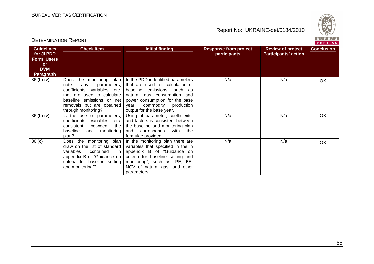

#### **Guidelines for JI PDD Form Users or DVM Paragraph Check Item The Initial finding Response from project participants Review of project Participants' actionConclusion** 36 (b) (v) Does the monitoring plan note any parameters, coefficients, variables, etc. that are used to calculate baseline emissions or net removals but are obtained through monitoring?  $36$  (b) (v)  $\vert$  is the use of parameters, In the PDD indentified parameters that are used for calculation of baseline emissions, such as natural gas consumption and power consumption for the base production year, commodity output for the base year. Using of parameter, coefficients, N/aa N/a Nok coefficients, variables, etc. the consistent between baseline and monitoring plan? 36 (c) Does the monitoring plan and factors is consistent between the baseline and monitoring plan with the and corresponds formulae provided. In the monitoring plan there are N/aa | N/a | OK draw on the list of standard in variables contained appendix B of "Guidance on criteria for baseline setting and monitoring"? variables that specified in the in appendix B of "Guidance on criteria for baseline setting and monitoring", such as: PE, BE, NCV of natural gas, and other parameters. N/aa | N/a | OK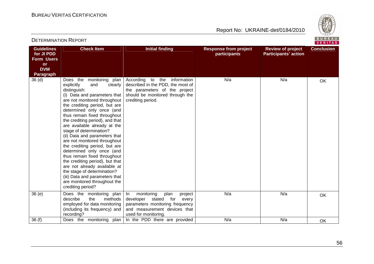

| <b>Guidelines</b><br>for JI PDD | <b>Check Item</b>                                                                                                                                                                                                                                                                                                                                                                                                                                                                                                                                                                                                                                                                               | <b>Initial finding</b>                                                                                                                                              | <b>Response from project</b><br>participants | <b>Review of project</b><br><b>Participants' action</b> | <b>Conclusion</b> |
|---------------------------------|-------------------------------------------------------------------------------------------------------------------------------------------------------------------------------------------------------------------------------------------------------------------------------------------------------------------------------------------------------------------------------------------------------------------------------------------------------------------------------------------------------------------------------------------------------------------------------------------------------------------------------------------------------------------------------------------------|---------------------------------------------------------------------------------------------------------------------------------------------------------------------|----------------------------------------------|---------------------------------------------------------|-------------------|
| <b>Form Users</b>               |                                                                                                                                                                                                                                                                                                                                                                                                                                                                                                                                                                                                                                                                                                 |                                                                                                                                                                     |                                              |                                                         |                   |
| <b>or</b><br><b>DVM</b>         |                                                                                                                                                                                                                                                                                                                                                                                                                                                                                                                                                                                                                                                                                                 |                                                                                                                                                                     |                                              |                                                         |                   |
| <b>Paragraph</b>                |                                                                                                                                                                                                                                                                                                                                                                                                                                                                                                                                                                                                                                                                                                 |                                                                                                                                                                     |                                              |                                                         |                   |
| 36 <sub>(d)</sub>               | Does the<br>monitoring plan<br>explicitly<br>clearly<br>and<br>distinguish:<br>(i) Data and parameters that<br>are not monitored throughout<br>the crediting period, but are<br>determined only once (and<br>thus remain fixed throughout<br>the crediting period), and that<br>are available already at the<br>stage of determination?<br>(ii) Data and parameters that<br>are not monitored throughout<br>the crediting period, but are<br>determined only once (and<br>thus remain fixed throughout<br>the crediting period), but that<br>are not already available at<br>the stage of determination?<br>(iii) Data and parameters that<br>are monitored throughout the<br>crediting period? | According to the<br>information<br>described in the PDD, the most of<br>the parameters of the project<br>should be monitored through the<br>crediting period.       | N/a                                          | N/a                                                     | OK                |
| 36(e)                           | Does the monitoring plan<br>describe<br>the<br>methods<br>employed for data monitoring<br>(including its frequency) and<br>recording?                                                                                                                                                                                                                                                                                                                                                                                                                                                                                                                                                           | monitoring<br>plan<br>project<br>In.<br>developer<br>stated for<br>every<br>parameters monitoring frequency<br>and measurement devices that<br>used for monitoring. | N/a                                          | N/a                                                     | OK                |
| 36(f)                           | Does the monitoring plan                                                                                                                                                                                                                                                                                                                                                                                                                                                                                                                                                                                                                                                                        | In the PDD there are provided                                                                                                                                       | N/a                                          | N/a                                                     | OK                |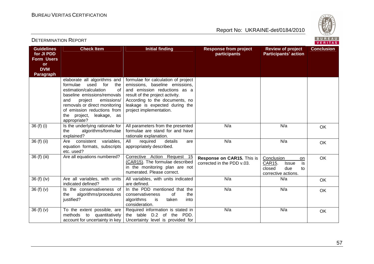

**VERITAS** 

#### **Guidelines for JI PDD Form Users or DVM Paragraph Check Item The Initial finding The Response from project participants Review of project Participants' actionConclusion** elaborate all algorithms and the formulae used for  $\Omega$ estimation/calculation baseline emissions/removals and project emissions/ removals or direct monitoring of emission reductions from the project, leakage, as appropriate?  $36$  (f) (i)  $\vert$  Is the underlying rationale for formulae for calculation of project emissions, baseline emissions, and emission reductions as a result of the project activity. According to the documents, no leakage is expected during the project implementation. the algorithms/formulae explained?  $36$  (f) (ii)  $\overline{\phantom{a}}$  Are consistent variables, All parameters from the presented formulae are stand for and have rationale explanation. details N/aa | N/a | OK equation formats, subscripts etc. used? Are all equations numbered? All required details are appropriately described. N/aa | N/a | OK 36 (f) (iii) Are all equations numbered? Corrective Action Request 15 (CAR15). The formulae described in the monitoring plan are not numerated. Please correct. **Response on CAR15.** This is corrected in the PDD v.03. Conclusion on is CAR15. Issue closed due to corrective actions. OK 36 (f) (iv) Are all variables, with units indicated defined?  $36(f)(v)$  Is the conservativeness of All variables, with units indicated are defined. In the PDD mentioned that the N/aa N/a Nok the algorithms/procedures justified? the conservativeness of into algorithms is taken consideration. Required information is stated in N/aa | N/a | OK  $36(f)(v)$  To the extent possible, are methods to quantitatively account for uncertainty in key the table D.2 of the PDD. Uncertainty level is provided for N/aa | N/a | OK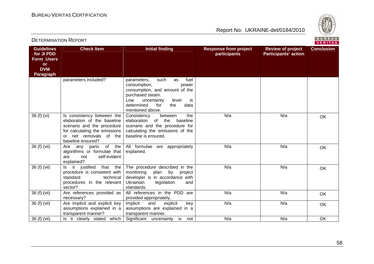

| <b>Guidelines</b><br>for JI PDD<br><b>Form Users</b><br><b>or</b><br><b>DVM</b><br><b>Paragraph</b> | <b>Check Item</b>                                                                                                                                                          | <b>Initial finding</b>                                                                                                                                                                                        | <b>Response from project</b><br>participants | <b>Review of project</b><br><b>Participants' action</b> | <b>Conclusion</b> |
|-----------------------------------------------------------------------------------------------------|----------------------------------------------------------------------------------------------------------------------------------------------------------------------------|---------------------------------------------------------------------------------------------------------------------------------------------------------------------------------------------------------------|----------------------------------------------|---------------------------------------------------------|-------------------|
|                                                                                                     | parameters included?                                                                                                                                                       | fuel<br>such<br>parameters,<br>as<br>consumption,<br>power<br>consumption, and amount of the<br>purchased steam.<br>uncertainty<br>Low<br>level<br>is<br>determined<br>for<br>the<br>data<br>mentioned above. |                                              |                                                         |                   |
| 36 (f) (vi)                                                                                         | Is consistency between the<br>elaboration of the baseline<br>scenario and the procedure<br>for calculating the emissions<br>net removals of the<br>or<br>baseline ensured? | the<br>Consistency<br>between<br>of<br>the<br>elaboration<br>baseline<br>scenario and the procedure for<br>calculating the emissions of the<br>baseline is ensured.                                           | N/a                                          | N/a                                                     | OK                |
| 36 (f) (vii)                                                                                        | of the<br>Are<br>parts<br>any<br>algorithms or formulae that<br>self-evident<br>not<br>are<br>explained?                                                                   | All formulae are appropriately<br>explained.                                                                                                                                                                  | N/a                                          | N/a                                                     | OK                |
| 36 (f) (vii)                                                                                        | it justified<br>that the<br>ls.<br>procedure is consistent with<br>standard<br>technical<br>procedures in the relevant<br>sector?                                          | The procedure described in the<br>monitoring<br>plan by<br>project<br>developer is in accordance with<br>Ukrainian<br>legislation<br>and<br>standards.                                                        | N/a                                          | N/a                                                     | OK                |
| 36 (f) (vii)                                                                                        | Are references provided as<br>necessary?                                                                                                                                   | All references in the PDD are<br>provided appropriately.                                                                                                                                                      | N/a                                          | N/a                                                     | <b>OK</b>         |
| 36 (f) (vii)                                                                                        | Are implicit and explicit key<br>assumptions explained in a<br>transparent manner?                                                                                         | Implicit<br>and<br>key<br>explicit<br>assumptions are explained in a<br>transparent manner.                                                                                                                   | N/a                                          | N/a                                                     | <b>OK</b>         |
| 36 (f) (vii)                                                                                        | Is it clearly stated which                                                                                                                                                 | Significant uncertainty<br>is<br>not                                                                                                                                                                          | N/a                                          | N/a                                                     | OK                |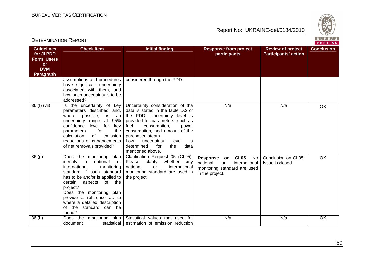

| <b>Guidelines</b><br>for JI PDD<br><b>Form Users</b><br><b>or</b><br><b>DVM</b><br><b>Paragraph</b> | <b>Check Item</b>                                                                                                                                                                                                                                                                                                                        | <b>Initial finding</b>                                                                                                                                                                                                                                                                                                          | <b>Response from project</b><br>participants                                                                                      | <b>Review of project</b><br><b>Participants' action</b> | <b>Conclusion</b> |
|-----------------------------------------------------------------------------------------------------|------------------------------------------------------------------------------------------------------------------------------------------------------------------------------------------------------------------------------------------------------------------------------------------------------------------------------------------|---------------------------------------------------------------------------------------------------------------------------------------------------------------------------------------------------------------------------------------------------------------------------------------------------------------------------------|-----------------------------------------------------------------------------------------------------------------------------------|---------------------------------------------------------|-------------------|
|                                                                                                     | assumptions and procedures<br>have significant uncertainty<br>associated with them, and<br>how such uncertainty is to be<br>addressed?                                                                                                                                                                                                   | considered through the PDD.                                                                                                                                                                                                                                                                                                     |                                                                                                                                   |                                                         |                   |
| 36 (f) (vii)                                                                                        | Is the uncertainty of key<br>parameters described and,<br>possible,<br>where<br>is<br>an<br>uncertainty range<br>at 95%<br>confidence<br>level for<br>key<br>for<br>parameters<br>the<br>of<br>calculation<br>emission<br>reductions or enhancements<br>of net removals provided?                                                        | Uncertainty consideration of tha<br>data is stated in the table D.2 of<br>the PDD. Uncertainty level is<br>provided for parameters, such as<br>fuel<br>consumption,<br>power<br>consumption, and amount of the<br>purchased steam.<br>level<br>Low<br>uncertainty<br>is<br>determined<br>for<br>data<br>the<br>mentioned above. | N/a                                                                                                                               | N/a                                                     | OK                |
| 36 <sub>(g)</sub>                                                                                   | Does the monitoring<br>plan<br>identify<br>national<br>a<br>or<br>international<br>monitoring<br>standard if such standard<br>has to be and/or is applied to<br>certain<br>aspects of the<br>project?<br>Does the monitoring plan<br>provide a reference as to<br>where a detailed description<br>the<br>standard can be<br>of<br>found? | Clarification Request 05 (CL05).<br>Please<br>clarify<br>whether<br>any<br>national<br>international<br><b>or</b><br>monitoring standard are used in<br>the project.                                                                                                                                                            | <b>CL05.</b><br>No<br>Response<br>on<br>national<br>international<br><b>or</b><br>monitoring standard are used<br>in the project. | Conclusion on CL05.<br>Issue is closed.                 | <b>OK</b>         |
| 36(h)                                                                                               | Does the<br>monitoring<br>plan<br>statistical<br>document                                                                                                                                                                                                                                                                                | Statistical values that used for<br>estimation of emission reduction                                                                                                                                                                                                                                                            | N/a                                                                                                                               | N/a                                                     | OK                |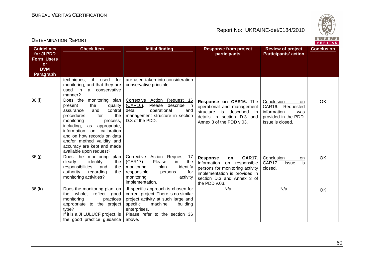

**VERITAS** 

#### **Guidelines for JI PDD Form Users or DVM Paragraph Check Item The Initial finding The Response from project participants Review of project Participants' actionConclusion** techniques, if used for monitoring, and that they are used in a conservative manner? 36 (i) Does the monitoring plan are used taken into consideration conservative principle. present the quality control assurance and the procedures for monitoring process, including, as appropriate, information on calibration and on how records on data and/or method validity and accuracy are kept and made available upon request? Corrective Action Request 16 (CAR16). Please describe in detail operational and management structure in section D.3 of the PDD. **Response on CAR16.** The operational and management structure is described in details in section D.3 and Annex 3 of the PDD v.03. Conclusion on CAR<sub>16</sub>. Requested was information provided in the PDD. Issue is closed. **OK** 36 (j) Does the monitoring plan the clearly identify the responsibilities and the authority regarding monitoring activities? Corrective Action Request 17 the  $(CAR17)$ . Please in identify monitoring plan for responsible persons monitoring activity implementation. **Response on CAR17.**  Information on responsible persons for monitoring activity implementation is provided in section D.3 and Annex 3 of the PDD v.03. N/aConclusion on is CAR17. Issue closed. OK 36 (k) Does the monitoring plan, on the whole, reflect good practices monitoring appropriate to the project type? If it is a JI LULUCF project, is the good practice guidance JI specific approach is chosen for current project. There is no similar project activity at such large and building specific machine enterprises. Please refer to the section 36 above. a N/a Nok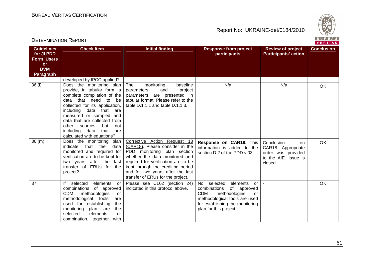

#### VERITAS **Guidelines Check Item The Initial finding The Response from project Review of project Conclusion for JI PDD participants Participants' action Form Users or DVM Paragraph** developed by IPCC applied? 36 (I) | Does the monitoring plan The monitoring baseline N/aa N/a Nok provide, in tabular form, a parameters and project complete compilation of the parameters are presented in data that need to be tabular format. Please refer to the collected for its application, table D.1.1.1 and table D.1.1.3. including data that are measured or sampled and data that are collected from other sources but not including data that are calculated with equations? 36 (m) Does the monitoring plan Corrective Action Request 18 **Response on CAR18.** This OK Conclusion on indicate that the data (CAR18). Please consider in the information is added to the CAR18. Appropriate monitored and required for PDD monitoring plan section section D.2 of the PDD v.03. order was provided verification are to be kept for whether the data monitored and to the AIE. Issue is two years after the last required for verification are to be closed. transfer of ERUs for the kept through the crediting period project? and for two years after the last transfer of ERUs for the project. 37 If selected elements or Please see CL02 (section 24) No selected elements or - OK combinations of approved indicated in this protocol above. combinations of approved CDM methodologies CDM methodologies or  $or$ methodological tools are methodological tools are used used for establishing the for establishing the monitoring plan for this project. monitoring plan, are the selected elements or combination, together with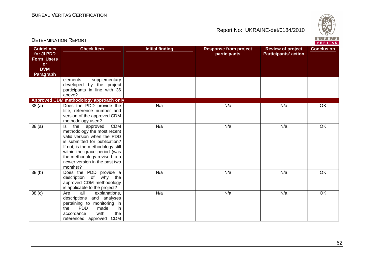

| <b>DETERMINATION NEPURT</b><br>VERITAS                                                              |                                                                                                                                                                                                                                                                                  |                        |                                              |                                                         |                   |
|-----------------------------------------------------------------------------------------------------|----------------------------------------------------------------------------------------------------------------------------------------------------------------------------------------------------------------------------------------------------------------------------------|------------------------|----------------------------------------------|---------------------------------------------------------|-------------------|
| <b>Guidelines</b><br>for JI PDD<br><b>Form Users</b><br><b>or</b><br><b>DVM</b><br><b>Paragraph</b> | <b>Check Item</b>                                                                                                                                                                                                                                                                | <b>Initial finding</b> | <b>Response from project</b><br>participants | <b>Review of project</b><br><b>Participants' action</b> | <b>Conclusion</b> |
|                                                                                                     | supplementary<br>elements<br>developed by the project<br>participants in line with 36<br>above?                                                                                                                                                                                  |                        |                                              |                                                         |                   |
|                                                                                                     | Approved CDM methodology approach only                                                                                                                                                                                                                                           |                        |                                              |                                                         |                   |
| 38(a)                                                                                               | Does the PDD provide the<br>title, reference number and<br>version of the approved CDM<br>methodology used?                                                                                                                                                                      | N/a                    | N/a                                          | N/a                                                     | $\overline{OK}$   |
| 38(a)                                                                                               | <b>CDM</b><br>the approved<br>ls.<br>methodology the most recent<br>valid version when the PDD<br>is submitted for publication?<br>If not, is the methodology still<br>within the grace period (was<br>the methodology revised to a<br>newer version in the past two<br>months)? | N/a                    | N/a                                          | N/a                                                     | $\overline{OK}$   |
| 38(b)                                                                                               | Does the PDD provide a<br>description of why the<br>approved CDM methodology<br>is applicable to the project?                                                                                                                                                                    | N/a                    | N/a                                          | N/a                                                     | OK                |
| 38 <sub>(c)</sub>                                                                                   | all<br>explanations,<br>Are<br>descriptions and analyses<br>pertaining to monitoring in<br><b>PDD</b><br>in<br>the<br>made<br>with<br>accordance<br>the<br><b>CDM</b><br>referenced approved                                                                                     | N/a                    | N/a                                          | N/a                                                     | OK                |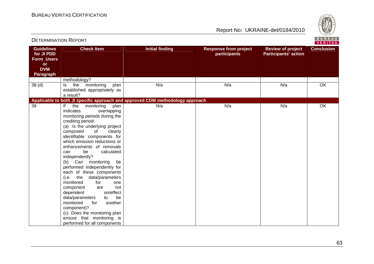

| <b>DETERMINATION REPORT</b>                                                                         |                                                                                                                                                                                                                                                                                                                                                                                                                                                                                                                                                                                                                                                                                                       |                                                                               |                                              |                                                         | BUREAU<br>VERITAS |
|-----------------------------------------------------------------------------------------------------|-------------------------------------------------------------------------------------------------------------------------------------------------------------------------------------------------------------------------------------------------------------------------------------------------------------------------------------------------------------------------------------------------------------------------------------------------------------------------------------------------------------------------------------------------------------------------------------------------------------------------------------------------------------------------------------------------------|-------------------------------------------------------------------------------|----------------------------------------------|---------------------------------------------------------|-------------------|
| <b>Guidelines</b><br>for JI PDD<br><b>Form Users</b><br><b>or</b><br><b>DVM</b><br><b>Paragraph</b> | <b>Check Item</b>                                                                                                                                                                                                                                                                                                                                                                                                                                                                                                                                                                                                                                                                                     | <b>Initial finding</b>                                                        | <b>Response from project</b><br>participants | <b>Review of project</b><br><b>Participants' action</b> | <b>Conclusion</b> |
|                                                                                                     | methodology?                                                                                                                                                                                                                                                                                                                                                                                                                                                                                                                                                                                                                                                                                          |                                                                               |                                              |                                                         |                   |
| 38 <sub>(d)</sub>                                                                                   | the monitoring<br>plan<br>ls.<br>established appropriately as<br>a result?                                                                                                                                                                                                                                                                                                                                                                                                                                                                                                                                                                                                                            | N/a                                                                           | N/a                                          | N/a                                                     | $\overline{OK}$   |
|                                                                                                     |                                                                                                                                                                                                                                                                                                                                                                                                                                                                                                                                                                                                                                                                                                       | Applicable to both JI specific approach and approved CDM methodology approach |                                              |                                                         |                   |
| 39                                                                                                  | monitoring<br>plan<br>lf<br>the<br>overlapping<br>indicates<br>monitoring periods during the<br>crediting period:<br>(a) Is the underlying project<br>composed<br>of<br>clearly<br>identifiable components for<br>which emission reductions or<br>enhancements of removals<br>be<br>calculated<br>can<br>independently?<br>(b) Can monitoring<br>be<br>performed independently for<br>each of these components<br>(i.e. the data/parameters<br>monitored<br>for<br>one<br>component<br>not<br>are<br>on/effect<br>dependent<br>be<br>data/parameters<br>to<br>monitored<br>another<br>for<br>component)?<br>(c) Does the monitoring plan<br>ensure that monitoring is<br>performed for all components | N/a                                                                           | N/a                                          | N/a                                                     | OK                |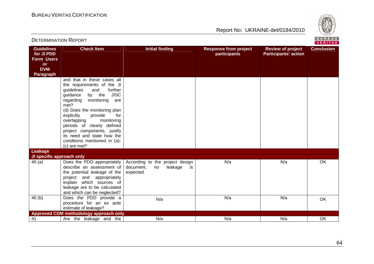

| BUREAU<br><b>DETERMINATION REPORT</b><br>VERITAS                                                    |                                                                                                                                                                                                                                                                                                                                                                                                        |                                                                                  |                                              |                                                         |                   |
|-----------------------------------------------------------------------------------------------------|--------------------------------------------------------------------------------------------------------------------------------------------------------------------------------------------------------------------------------------------------------------------------------------------------------------------------------------------------------------------------------------------------------|----------------------------------------------------------------------------------|----------------------------------------------|---------------------------------------------------------|-------------------|
| <b>Guidelines</b><br>for JI PDD<br><b>Form Users</b><br><b>or</b><br><b>DVM</b><br><b>Paragraph</b> | <b>Check Item</b>                                                                                                                                                                                                                                                                                                                                                                                      | <b>Initial finding</b>                                                           | <b>Response from project</b><br>participants | <b>Review of project</b><br><b>Participants' action</b> | <b>Conclusion</b> |
|                                                                                                     | and that in these cases all<br>the requirements of the JI<br>guidelines<br>further<br>and<br>by the JISC<br>guidance<br>regarding<br>monitoring<br>are<br>met?<br>(d) Does the monitoring plan<br>provide<br>explicitly<br>for<br>monitoring<br>overlapping<br>periods of clearly defined<br>project components, justify<br>its need and state how the<br>conditions mentioned in (a)-<br>(c) are met? |                                                                                  |                                              |                                                         |                   |
| Leakage                                                                                             |                                                                                                                                                                                                                                                                                                                                                                                                        |                                                                                  |                                              |                                                         |                   |
| JI specific approach only<br>40(a)                                                                  | Does the PDD appropriately<br>describe an assessment of<br>the potential leakage of the<br>project and appropriately<br>explain which sources of<br>leakage are to be calculated<br>and which can be neglected?                                                                                                                                                                                        | According to the project design<br>leakage<br>document,<br>is<br>no<br>expected. | N/a                                          | N/a                                                     | OK                |
| 40(b)                                                                                               | Does the PDD provide a<br>procedure for an ex ante<br>estimate of leakage?                                                                                                                                                                                                                                                                                                                             | N/a                                                                              | N/a                                          | N/a                                                     | OK                |
|                                                                                                     | Approved CDM methodology approach only                                                                                                                                                                                                                                                                                                                                                                 |                                                                                  |                                              |                                                         |                   |
| 41                                                                                                  | Are the leakage and the                                                                                                                                                                                                                                                                                                                                                                                | N/a                                                                              | N/a                                          | N/a                                                     | OK                |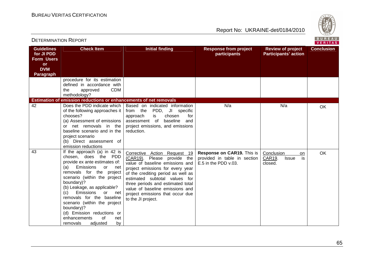

|                                                                                                     |                                                                                                                                                                                                                                                                                                                                                                                                                                      |                                                                                                                                                                                                                                                                                                                                             |                                                                                    | V E R I T A S                                               |                   |
|-----------------------------------------------------------------------------------------------------|--------------------------------------------------------------------------------------------------------------------------------------------------------------------------------------------------------------------------------------------------------------------------------------------------------------------------------------------------------------------------------------------------------------------------------------|---------------------------------------------------------------------------------------------------------------------------------------------------------------------------------------------------------------------------------------------------------------------------------------------------------------------------------------------|------------------------------------------------------------------------------------|-------------------------------------------------------------|-------------------|
| <b>Guidelines</b><br>for JI PDD<br><b>Form Users</b><br><b>or</b><br><b>DVM</b><br><b>Paragraph</b> | <b>Check Item</b>                                                                                                                                                                                                                                                                                                                                                                                                                    | <b>Initial finding</b>                                                                                                                                                                                                                                                                                                                      | <b>Response from project</b><br>participants                                       | <b>Review of project</b><br><b>Participants' action</b>     | <b>Conclusion</b> |
|                                                                                                     | procedure for its estimation<br>defined in accordance with<br><b>CDM</b><br>approved<br>the<br>methodology?<br>Estimation of emission reductions or enhancements of net removals                                                                                                                                                                                                                                                     |                                                                                                                                                                                                                                                                                                                                             |                                                                                    |                                                             |                   |
| 42                                                                                                  | of the following approaches it<br>chooses?<br>(a) Assessment of emissions<br>or net removals in the<br>baseline scenario and in the<br>project scenario<br>(b) Direct assessment of<br>emission reductions                                                                                                                                                                                                                           | Does the PDD indicate which   Based on indicated information<br>PDD, JI specific<br>from the<br>for<br>chosen<br>approach<br>is<br>baseline<br>assessment of<br>and<br>project emissions, and emissions<br>reduction.                                                                                                                       | N/a                                                                                | N/a                                                         | OK                |
| 43                                                                                                  | If the approach (a) in 42 is<br>chosen, does the PDD<br>provide ex ante estimates of:<br>Emissions<br>(a)<br>or<br>net<br>removals for the project<br>scenario (within the project<br>boundary)?<br>(b) Leakage, as applicable?<br>Emissions<br>(c)<br>or<br>net<br>removals for the baseline<br>scenario (within the project<br>boundary)?<br>(d) Emission reductions or<br>of<br>enhancements<br>net<br>adjusted<br>removals<br>by | Corrective Action Request 19<br>(CAR19). Please provide the<br>value of baseline emissions and<br>project emissions for every year<br>of the crediting period as well as<br>estimated subtotal values for<br>three periods and estimated total<br>value of baseline emissions and<br>project emissions that occur due<br>to the JI project. | Response on CAR19. This is<br>provided in table in section<br>E.5 in the PDD v.03. | Conclusion<br>on<br>CAR19.<br>is<br><b>Issue</b><br>closed. | OK                |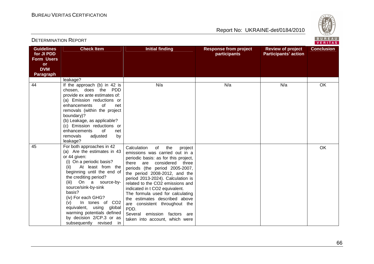DETERMINATION REPORT





| <b>Guidelines</b><br>for JI PDD<br><b>Form Users</b> | <b>Check Item</b>                                                                                                                                                                                                                                                                                                                                                                                                      | <b>Initial finding</b>                                                                                                                                                                                                                                                                                                                                                                                                                                                                                       | <b>Response from project</b><br>participants | <b>Review of project</b><br><b>Participants' action</b> | <b>Conclusion</b> |
|------------------------------------------------------|------------------------------------------------------------------------------------------------------------------------------------------------------------------------------------------------------------------------------------------------------------------------------------------------------------------------------------------------------------------------------------------------------------------------|--------------------------------------------------------------------------------------------------------------------------------------------------------------------------------------------------------------------------------------------------------------------------------------------------------------------------------------------------------------------------------------------------------------------------------------------------------------------------------------------------------------|----------------------------------------------|---------------------------------------------------------|-------------------|
| <b>or</b><br><b>DVM</b><br><b>Paragraph</b>          |                                                                                                                                                                                                                                                                                                                                                                                                                        |                                                                                                                                                                                                                                                                                                                                                                                                                                                                                                              |                                              |                                                         |                   |
| 44                                                   | leakage?<br>If the approach (b) in 42 is<br>chosen, does the PDD<br>provide ex ante estimates of:<br>(a) Emission reductions or<br>enhancements<br>of<br>net<br>removals (within the project<br>boundary)?<br>(b) Leakage, as applicable?<br>(c) Emission reductions or<br>of<br>enhancements<br>net<br>removals<br>adjusted<br>by<br>leakage?                                                                         | N/a                                                                                                                                                                                                                                                                                                                                                                                                                                                                                                          | N/a                                          | N/a                                                     | OK                |
| 45                                                   | For both approaches in 42<br>(a) Are the estimates in 43<br>or 44 given:<br>(i) On a periodic basis?<br>At least from the<br>(ii)<br>beginning until the end of<br>the crediting period?<br>On a source-by-<br>(iii)<br>source/sink-by-sink<br>basis?<br>(iv) For each GHG?<br>In tones of CO2<br>(v)<br>equivalent, using global<br>warming potentials defined<br>by decision 2/CP.3 or as<br>subsequently revised in | Calculation<br>of<br>the<br>project<br>emissions was carried out in a<br>periodic basis: as for this project,<br>considered three<br>there are<br>periods (the period 2005-2007,<br>the period 2008-2012, and the<br>period 2013-2024). Calculation is<br>related to the CO2 emissions and<br>indicated in t CO2 equivalent.<br>The formula used for calculating<br>the estimates described above<br>are consistent throughout the<br>PDD.<br>Several emission factors are<br>taken into account, which were |                                              |                                                         | OK                |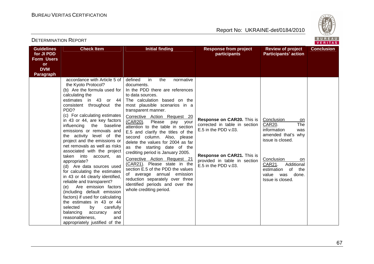

| <b>Guidelines</b><br>for JI PDD                                  | <b>Check Item</b>                                                                                                                                                                                                                                                                                                                                                                                                                                                                                                                                                                                                                                                                                                                                                                                                                                                      | <b>Initial finding</b>                                                                                                                                                                                                                                                                                                                                                                                                                                                                                                                                                                                                                                                                                                     | <b>Response from project</b><br>participants                                                                                                                              | <b>Review of project</b><br><b>Participants' action</b>                                                                                                                                                                | <b>Conclusion</b> |
|------------------------------------------------------------------|------------------------------------------------------------------------------------------------------------------------------------------------------------------------------------------------------------------------------------------------------------------------------------------------------------------------------------------------------------------------------------------------------------------------------------------------------------------------------------------------------------------------------------------------------------------------------------------------------------------------------------------------------------------------------------------------------------------------------------------------------------------------------------------------------------------------------------------------------------------------|----------------------------------------------------------------------------------------------------------------------------------------------------------------------------------------------------------------------------------------------------------------------------------------------------------------------------------------------------------------------------------------------------------------------------------------------------------------------------------------------------------------------------------------------------------------------------------------------------------------------------------------------------------------------------------------------------------------------------|---------------------------------------------------------------------------------------------------------------------------------------------------------------------------|------------------------------------------------------------------------------------------------------------------------------------------------------------------------------------------------------------------------|-------------------|
| <b>Form Users</b><br><b>or</b><br><b>DVM</b><br><b>Paragraph</b> |                                                                                                                                                                                                                                                                                                                                                                                                                                                                                                                                                                                                                                                                                                                                                                                                                                                                        |                                                                                                                                                                                                                                                                                                                                                                                                                                                                                                                                                                                                                                                                                                                            |                                                                                                                                                                           |                                                                                                                                                                                                                        |                   |
|                                                                  | accordance with Article 5 of<br>the Kyoto Protocol?<br>(b) Are the formula used for<br>calculating the<br>estimates in 43 or 44<br>consistent throughout<br>the<br>PDD?<br>(c) For calculating estimates<br>in 43 or 44, are key factors<br>influencing the baseline<br>emissions or removals and<br>the activity level of the<br>project and the emissions or<br>net removals as well as risks<br>associated with the project<br>taken<br>into<br>account, as<br>appropriate?<br>(d) Are data sources used<br>for calculating the estimates<br>in 43 or 44 clearly identified,<br>reliable and transparent?<br>Are emission factors<br>(e)<br>(including default emission<br>factors) if used for calculating<br>the estimates in 43 or 44<br>carefully<br>selected<br>by<br>balancing<br>accuracy<br>and<br>reasonableness,<br>and<br>appropriately justified of the | defined<br>in.<br>the<br>normative<br>documents.<br>In the PDD there are references<br>to data sources.<br>The calculation based on the<br>most plausible scenarios in a<br>transparent manner.<br>Corrective Action Request 20<br>(CAR20).<br>Please<br>pay<br>your<br>attention to the table in section<br>E.5 and clarify the titles of the<br>second column. Also, please<br>delete the values for 2004 as far<br>as the starting date of the<br>crediting period is January 2005.<br>Corrective Action Request 21<br>(CAR21). Please state in the<br>section E.5 of the PDD the values<br>of average annual emission<br>reduction separately over three<br>identified periods and over the<br>whole crediting period. | Response on CAR20. This is<br>corrected in table in section<br>E.5 in the PDD v.03.<br>Response on CAR21. This is<br>provided in table in section<br>E.5 in the PDD v.03. | Conclusion<br>on<br>The<br>CAR20.<br>information<br>was<br>amended that's why<br>issue is closed.<br>Conclusion<br>on.<br>Additional<br>CAR21.<br>estimation<br>of<br>the<br>value<br>done.<br>was<br>Issue is closed. |                   |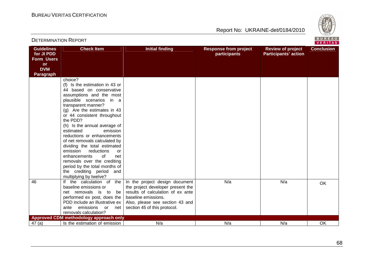

| <b>DETERMINATION REPORT</b> |  |
|-----------------------------|--|
|-----------------------------|--|

BUREAU<br>VERITAS

| <b>Guidelines</b><br>for JI PDD | <b>Check Item</b>                                               | <b>Initial finding</b>            | <b>Response from project</b><br>participants | <b>Review of project</b><br><b>Participants' action</b> | <b>Conclusion</b> |
|---------------------------------|-----------------------------------------------------------------|-----------------------------------|----------------------------------------------|---------------------------------------------------------|-------------------|
| Form Users                      |                                                                 |                                   |                                              |                                                         |                   |
| <b>or</b>                       |                                                                 |                                   |                                              |                                                         |                   |
| <b>DVM</b>                      |                                                                 |                                   |                                              |                                                         |                   |
| <b>Paragraph</b>                |                                                                 |                                   |                                              |                                                         |                   |
|                                 | choice?                                                         |                                   |                                              |                                                         |                   |
|                                 | (f) Is the estimation in 43 or                                  |                                   |                                              |                                                         |                   |
|                                 | 44 based on conservative                                        |                                   |                                              |                                                         |                   |
|                                 | assumptions and the most                                        |                                   |                                              |                                                         |                   |
|                                 | plausible scenarios in a                                        |                                   |                                              |                                                         |                   |
|                                 | transparent manner?                                             |                                   |                                              |                                                         |                   |
|                                 | (g) Are the estimates in 43<br>or 44 consistent throughout      |                                   |                                              |                                                         |                   |
|                                 | the PDD?                                                        |                                   |                                              |                                                         |                   |
|                                 | (h) Is the annual average of                                    |                                   |                                              |                                                         |                   |
|                                 | estimated<br>emission                                           |                                   |                                              |                                                         |                   |
|                                 | reductions or enhancements                                      |                                   |                                              |                                                         |                   |
|                                 | of net removals calculated by                                   |                                   |                                              |                                                         |                   |
|                                 | dividing the total estimated                                    |                                   |                                              |                                                         |                   |
|                                 | emission<br>reductions<br><b>or</b>                             |                                   |                                              |                                                         |                   |
|                                 | enhancements<br>0f<br>net                                       |                                   |                                              |                                                         |                   |
|                                 | removals over the crediting                                     |                                   |                                              |                                                         |                   |
|                                 | period by the total months of                                   |                                   |                                              |                                                         |                   |
|                                 | the crediting period and                                        |                                   |                                              |                                                         |                   |
|                                 | multiplying by twelve?                                          |                                   |                                              |                                                         |                   |
| 46                              | If the calculation of<br>the                                    | In the project design document    | N/a                                          | N/a                                                     | OK                |
|                                 | baseline emissions or                                           | the project developer present the |                                              |                                                         |                   |
|                                 | net removals is to<br>be                                        | results of calculation of ex ante |                                              |                                                         |                   |
|                                 | performed ex post, does the                                     | baseline emissions.               |                                              |                                                         |                   |
|                                 | PDD include an illustrative ex                                  | Also, please see section 43 and   |                                              |                                                         |                   |
|                                 | emissions<br>ante<br>or<br>net                                  | section 45 of this protocol.      |                                              |                                                         |                   |
|                                 | removals calculation?<br>Approved CDM methodology approach only |                                   |                                              |                                                         |                   |
| 47(a)                           | Is the estimation of emission                                   | N/a                               | N/a                                          | N/a                                                     | OK                |
|                                 |                                                                 |                                   |                                              |                                                         |                   |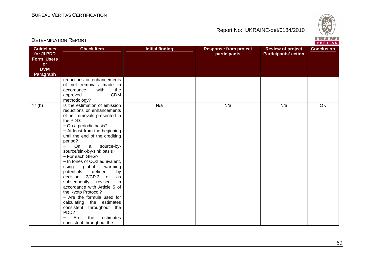

|                                                                                              |                                                                                                                                                                                                                                                                                                                                                                                                                                                                                                                                                                                                                                          |                        |                                              |                                                         | <b>VERITAS</b>    |
|----------------------------------------------------------------------------------------------|------------------------------------------------------------------------------------------------------------------------------------------------------------------------------------------------------------------------------------------------------------------------------------------------------------------------------------------------------------------------------------------------------------------------------------------------------------------------------------------------------------------------------------------------------------------------------------------------------------------------------------------|------------------------|----------------------------------------------|---------------------------------------------------------|-------------------|
| <b>Guidelines</b><br>for JI PDD<br><b>Form Users</b><br>or<br><b>DVM</b><br><b>Paragraph</b> | <b>Check Item</b>                                                                                                                                                                                                                                                                                                                                                                                                                                                                                                                                                                                                                        | <b>Initial finding</b> | <b>Response from project</b><br>participants | <b>Review of project</b><br><b>Participants' action</b> | <b>Conclusion</b> |
|                                                                                              | reductions or enhancements<br>of net removals made in<br>with<br>accordance<br>the<br><b>CDM</b><br>approved<br>methodology?                                                                                                                                                                                                                                                                                                                                                                                                                                                                                                             |                        |                                              |                                                         |                   |
| 47 <sub>(b)</sub>                                                                            | Is the estimation of emission<br>reductions or enhancements<br>of net removals presented in<br>the PDD:<br>- On a periodic basis?<br>- At least from the beginning<br>until the end of the crediting<br>period?<br>On<br>source-by-<br>a a<br>source/sink-by-sink basis?<br>- For each GHG?<br>- In tones of CO2 equivalent,<br>global<br>warming<br>using<br>defined<br>potentials<br>by<br>decision 2/CP.3 or<br>as<br>subsequently revised<br>in<br>accordance with Article 5 of<br>the Kyoto Protocol?<br>- Are the formula used for<br>calculating the estimates<br>consistent<br>throughout the<br>PDD?<br>Are<br>estimates<br>the | N/a                    | N/a                                          | N/a                                                     | OK                |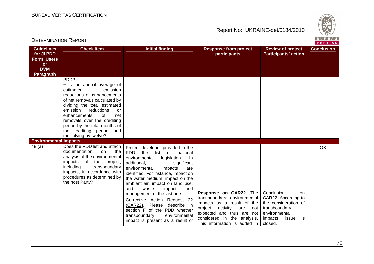

| <b>VERITAS</b>                                                                               |                                                                                                                                                                                                                                                                                                                                                               |                                                                                                                                                                                                                                                                                                                                                                                                                                                                                                                                        |                                                                                                                                                                                                                |                                                                                                                                         |                   |
|----------------------------------------------------------------------------------------------|---------------------------------------------------------------------------------------------------------------------------------------------------------------------------------------------------------------------------------------------------------------------------------------------------------------------------------------------------------------|----------------------------------------------------------------------------------------------------------------------------------------------------------------------------------------------------------------------------------------------------------------------------------------------------------------------------------------------------------------------------------------------------------------------------------------------------------------------------------------------------------------------------------------|----------------------------------------------------------------------------------------------------------------------------------------------------------------------------------------------------------------|-----------------------------------------------------------------------------------------------------------------------------------------|-------------------|
| <b>Guidelines</b><br>for JI PDD<br><b>Form Users</b><br><b>or</b><br><b>DVM</b><br>Paragraph | <b>Check Item</b>                                                                                                                                                                                                                                                                                                                                             | <b>Initial finding</b>                                                                                                                                                                                                                                                                                                                                                                                                                                                                                                                 | <b>Response from project</b><br>participants                                                                                                                                                                   | <b>Review of project</b><br><b>Participants' action</b>                                                                                 | <b>Conclusion</b> |
|                                                                                              | PD <sub>D</sub> ?<br>- Is the annual average of<br>emission<br>estimated<br>reductions or enhancements<br>of net removals calculated by<br>dividing the total estimated<br>emission<br>reductions<br>or<br>enhancements<br>0f<br>net<br>removals over the crediting<br>period by the total months of<br>the crediting period<br>and<br>multiplying by twelve? |                                                                                                                                                                                                                                                                                                                                                                                                                                                                                                                                        |                                                                                                                                                                                                                |                                                                                                                                         |                   |
| <b>Environmental impacts</b><br>48(a)                                                        | Does the PDD list and attach<br>documentation<br>the<br>on<br>analysis of the environmental<br>impacts of the project,<br>including<br>transboundary<br>impacts, in accordance with<br>procedures as determined by<br>the host Party?                                                                                                                         | Project developer provided in the<br><b>PDD</b><br>the<br>list of national<br>environmental<br>legislation.<br>-ln<br>additional,<br>significant<br>environmental<br>impacts<br>are<br>identified. For instance, impact on<br>the water medium, impact on the<br>ambient air, impact on land use,<br>and<br>waste<br>impact<br>and<br>management of the last one.<br>Corrective Action Request 22<br>(CAR22). Please describe in<br>section F of the PDD whether<br>environmental<br>transboundary<br>impact is present as a result of | Response on CAR22. The<br>transboundary environmental<br>impacts as a result of the<br>project activity are<br>not<br>expected and thus are not<br>considered in the analysis.<br>This information is added in | Conclusion<br>on<br>CAR22. According to<br>the consideration of<br>transboundary<br>environmental<br>impacts,<br>issue<br>is<br>closed. | OK                |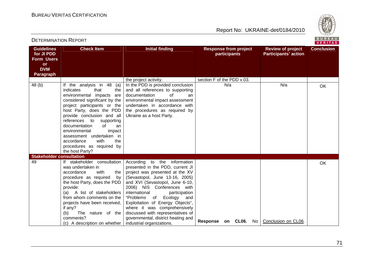**Review of project Participants' action**

**participants** 



**Conclusion** 

### DETERMINATION REPORT**Guidelines for JI PDD Form Users or DVM Paragraph Check Item Initial finding Response from project** 48 (b) If the analysis in 48 (a) indicates that the environmental impacts are considered significant by the project participants or the In the PDD is provided conclusion and all references to supporting documentation of an environmental impact assessment undertaken in accordance with

| <b>DVM</b><br>Paragraph         |                                                                                                                                                                                                                                                                                                                                                                                                                 |                                                                                                                                                                                                                                                                                                                                                                                                                                                        |                            |                    |      |                     |           |
|---------------------------------|-----------------------------------------------------------------------------------------------------------------------------------------------------------------------------------------------------------------------------------------------------------------------------------------------------------------------------------------------------------------------------------------------------------------|--------------------------------------------------------------------------------------------------------------------------------------------------------------------------------------------------------------------------------------------------------------------------------------------------------------------------------------------------------------------------------------------------------------------------------------------------------|----------------------------|--------------------|------|---------------------|-----------|
|                                 |                                                                                                                                                                                                                                                                                                                                                                                                                 | the project activity.                                                                                                                                                                                                                                                                                                                                                                                                                                  | section F of the PDD v.03. |                    |      |                     |           |
| 48 (b)                          | If the analysis in 48<br>(a)<br>indicates<br>that<br>the<br>environmental impacts<br>are<br>considered significant by the<br>project participants or the<br>host Party, does the PDD<br>provide conclusion and all<br>references to supporting<br>documentation<br>of<br>an<br>environmental<br>impact<br>assessment undertaken in<br>with<br>the<br>accordance<br>procedures as required by<br>the host Party? | In the PDD is provided conclusion<br>and all references to supporting<br>of<br>documentation<br>an<br>environmental impact assessment<br>undertaken in accordance with<br>the procedures as required by<br>Ukraine as a host Party.                                                                                                                                                                                                                    |                            | N/a                |      | N/a                 | <b>OK</b> |
| <b>Stakeholder consultation</b> |                                                                                                                                                                                                                                                                                                                                                                                                                 |                                                                                                                                                                                                                                                                                                                                                                                                                                                        |                            |                    |      |                     |           |
| 49                              | If stakeholder consultation<br>was undertaken in<br>accordance<br>with<br>the<br>procedure as required<br>by<br>the host Party, does the PDD<br>provide:<br>(a) A list of stakeholders<br>from whom comments on the<br>projects have been received,<br>if any?<br>The nature of the<br>(b)<br>comments?<br>(c) A description on whether                                                                         | According to the information<br>presented in the PDD, current JI<br>project was presented at the XV<br>(Sevastopol, June 13-16, 2005)<br>and XVI (Sevastopol, June 6-10,<br>2006) NIS Conferences with<br>international<br>participation<br>"Problems<br>of Ecology<br>and<br>Exploitation of Energy Objects",<br>where it was comprehensively<br>discussed with representatives of<br>governmental, district heating and<br>industrial organizations. | Response                   | <b>CL06.</b><br>on | No l | Conclusion on CL06. | <b>OK</b> |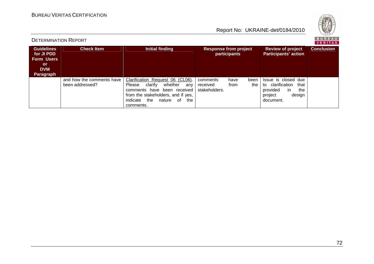



# DETERMINATION REPORT

BUREAU<br><mark>VERITAS</mark>

| <b>Guidelines</b><br>for JI PDD<br><b>Form Users</b><br><b>or</b><br><b>DVM</b><br>Paragraph | <b>Check Item</b>                            | <b>Initial finding</b>                                                                                                                                                                                 | <b>Response from project</b><br>participants                         | <b>Review of project</b><br><b>Participants' action</b>                                                     | <b>Conclusion</b> |
|----------------------------------------------------------------------------------------------|----------------------------------------------|--------------------------------------------------------------------------------------------------------------------------------------------------------------------------------------------------------|----------------------------------------------------------------------|-------------------------------------------------------------------------------------------------------------|-------------------|
|                                                                                              | and how the comments have<br>been addressed? | Clarification Request 06 (CL06).<br>whether<br>clarify<br>Please<br>anv<br>comments have<br>been received<br>from the stakeholders, and if yes,<br>the<br>indicate<br>nature<br>0f<br>the<br>comments. | comments<br>have<br>been<br>from<br>the<br>received<br>stakeholders. | Issue is closed due<br>to clarification<br>that<br>provided<br>the<br>-in<br>design<br>project<br>document. |                   |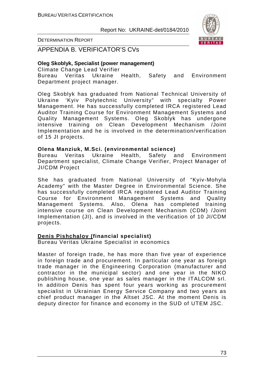Report No: UKRAINE-det/0184/2010



DETERMINATION REPORT

APPENDIA B. VERIFICATOR'S CVs

## **Oleg Skoblyk, Specialist (power management)**

Climate Change Lead Verifier Bureau Veritas Ukraine Health, Safety and Environment Department project manager.

Oleg Skoblyk has graduated from National Technical University of Ukraine 'Kyiv Polytechnic University" with specialty Power Management. He has successfully completed IRCA registered Lead Auditor Training Course for Environment Management Systems and Quality Management Systems. Oleg Skoblyk has undergone intensive training on Clean Development Mechanism /Joint Implementation and he is involved in the determination/verification of 15 JI projects.

#### **Olena Manziuk, M.Sci. (environmental science)**

Bureau Veritas Ukraine Health, Safety and Environment Department specialist, Climate Change Verifier, Project Manager of JI/CDM Project

She has graduated from National University of "Kyiv-Mohyla Academy" with the Master Degree in Environmental Science. She has successfully completed IRCA registered Lead Auditor Training Course for Environment Management Systems and Quality Management Systems. Also, Olena has completed training intensive course on Clean Development Mechanism (CDM) /Joint Implementation (JI), and is involved in the verification of 10 JI/CDM projects.

## **Denis Pishchalov (financial specialist)**

Bureau Veritas Ukraine Specialist in economics

Master of foreign trade, he has more than five year of experience in foreign trade and procurement. In particular one year as foreign trade manager in the Engineering Corporation (manufacturer and contractor in the municipal sector) and one year in the NIKO publishing house, one year as sales manager in the ITALCOM srl. In addition Denis has spent four years working as procurement specialist in Ukrainian Energy Service Company and two years as chief product manager in the Altset JSC. At the moment Denis is deputy director for finance and economy in the SUD of UTEM JSC.